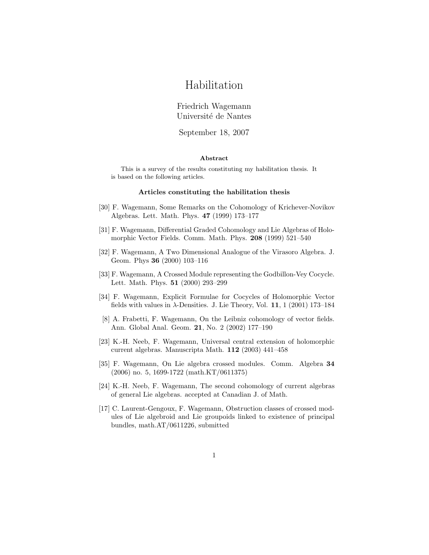# Habilitation

## Friedrich Wagemann Université de Nantes

September 18, 2007

#### Abstract

This is a survey of the results constituting my habilitation thesis. It is based on the following articles.

#### Articles constituting the habilitation thesis

- [30] F. Wagemann, Some Remarks on the Cohomology of Krichever-Novikov Algebras. Lett. Math. Phys. 47 (1999) 173–177
- [31] F. Wagemann, Differential Graded Cohomology and Lie Algebras of Holomorphic Vector Fields. Comm. Math. Phys. 208 (1999) 521–540
- [32] F. Wagemann, A Two Dimensional Analogue of the Virasoro Algebra. J. Geom. Phys 36 (2000) 103–116
- [33] F. Wagemann, A Crossed Module representing the Godbillon-Vey Cocycle. Lett. Math. Phys. 51 (2000) 293–299
- [34] F. Wagemann, Explicit Formulae for Cocycles of Holomorphic Vector fields with values in  $\lambda$ -Densities. J. Lie Theory, Vol. 11, 1 (2001) 173–184
- [8] A. Frabetti, F. Wagemann, On the Leibniz cohomology of vector fields. Ann. Global Anal. Geom. 21, No. 2 (2002) 177–190
- [23] K.-H. Neeb, F. Wagemann, Universal central extension of holomorphic current algebras. Manuscripta Math. 112 (2003) 441–458
- [35] F. Wagemann, On Lie algebra crossed modules. Comm. Algebra 34 (2006) no. 5, 1699-1722 (math.KT/0611375)
- [24] K.-H. Neeb, F. Wagemann, The second cohomology of current algebras of general Lie algebras. accepted at Canadian J. of Math.
- [17] C. Laurent-Gengoux, F. Wagemann, Obstruction classes of crossed modules of Lie algebroid and Lie groupoids linked to existence of principal bundles, math.AT/0611226, submitted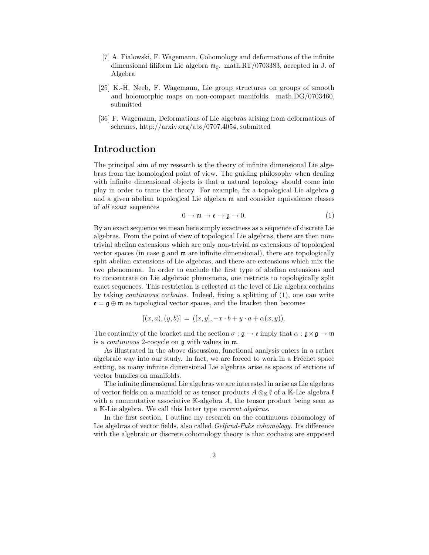- [7] A. Fialowski, F. Wagemann, Cohomology and deformations of the infinite dimensional filiform Lie algebra  $\mathfrak{m}_0$ . math.RT/0703383, accepted in J. of Algebra
- [25] K.-H. Neeb, F. Wagemann, Lie group structures on groups of smooth and holomorphic maps on non-compact manifolds. math.DG/0703460, submitted
- [36] F. Wagemann, Deformations of Lie algebras arising from deformations of schemes, http://arxiv.org/abs/0707.4054, submitted

## Introduction

The principal aim of my research is the theory of infinite dimensional Lie algebras from the homological point of view. The guiding philosophy when dealing with infinite dimensional objects is that a natural topology should come into play in order to tame the theory. For example, fix a topological Lie algebra g and a given abelian topological Lie algebra m and consider equivalence classes of all exact sequences

$$
0 \to \mathfrak{m} \to \mathfrak{e} \to \mathfrak{g} \to 0. \tag{1}
$$

By an exact sequence we mean here simply exactness as a sequence of discrete Lie algebras. From the point of view of topological Lie algebras, there are then nontrivial abelian extensions which are only non-trivial as extensions of topological vector spaces (in case  $\mathfrak g$  and  $\mathfrak m$  are infinite dimensional), there are topologically split abelian extensions of Lie algebras, and there are extensions which mix the two phenomena. In order to exclude the first type of abelian extensions and to concentrate on Lie algebraic phenomena, one restricts to topologically split exact sequences. This restriction is reflected at the level of Lie algebra cochains by taking continuous cochains. Indeed, fixing a splitting of (1), one can write  $\mathfrak{e} = \mathfrak{g} \oplus \mathfrak{m}$  as topological vector spaces, and the bracket then becomes

$$
[(x, a), (y, b)] = ([x, y], -x \cdot b + y \cdot a + \alpha(x, y)).
$$

The continuity of the bracket and the section  $\sigma : \mathfrak{g} \to \mathfrak{e}$  imply that  $\alpha : \mathfrak{g} \times \mathfrak{g} \to \mathfrak{m}$ is a continuous 2-cocycle on g with values in m.

As illustrated in the above discussion, functional analysis enters in a rather algebraic way into our study. In fact, we are forced to work in a Fréchet space setting, as many infinite dimensional Lie algebras arise as spaces of sections of vector bundles on manifolds.

The infinite dimensional Lie algebras we are interested in arise as Lie algebras of vector fields on a manifold or as tensor products  $A \otimes_{\mathbb{K}} \mathfrak{k}$  of a K-Lie algebra  $\mathfrak{k}$ with a commutative associative  $K$ -algebra  $A$ , the tensor product being seen as a K-Lie algebra. We call this latter type current algebras.

In the first section, I outline my research on the continuous cohomology of Lie algebras of vector fields, also called *Gelfand-Fuks cohomology*. Its difference with the algebraic or discrete cohomology theory is that cochains are supposed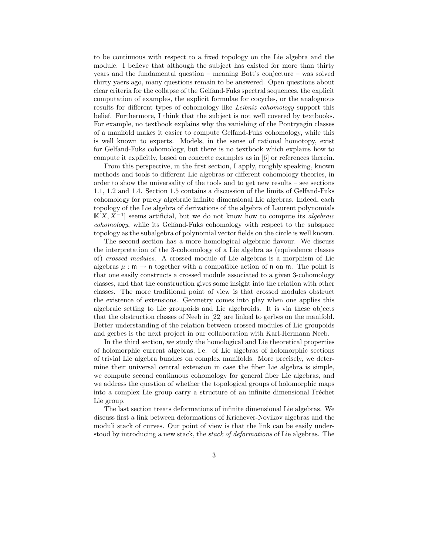to be continuous with respect to a fixed topology on the Lie algebra and the module. I believe that although the subject has existed for more than thirty years and the fundamental question – meaning Bott's conjecture – was solved thirty yaers ago, many questions remain to be answered. Open questions about clear criteria for the collapse of the Gelfand-Fuks spectral sequences, the explicit computation of examples, the explicit formulae for cocycles, or the analoguous results for different types of cohomology like Leibniz cohomology support this belief. Furthermore, I think that the subject is not well covered by textbooks. For example, no textbook explains why the vanishing of the Pontryagin classes of a manifold makes it easier to compute Gelfand-Fuks cohomology, while this is well known to experts. Models, in the sense of rational homotopy, exist for Gelfand-Fuks cohomology, but there is no textbook which explains how to compute it explicitly, based on concrete examples as in [6] or references therein.

From this perspective, in the first section, I apply, roughly speaking, known methods and tools to different Lie algebras or different cohomology theories, in order to show the universality of the tools and to get new results – see sections 1.1, 1.2 and 1.4. Section 1.5 contains a discussion of the limits of Gelfand-Fuks cohomology for purely algebraic infinite dimensional Lie algebras. Indeed, each topology of the Lie algebra of derivations of the algebra of Laurent polynomials  $\mathbb{K}[X, X^{-1}]$  seems artificial, but we do not know how to compute its *algebraic* cohomology, while its Gelfand-Fuks cohomology with respect to the subspace topology as the subalgebra of polynomial vector fields on the circle is well known.

The second section has a more homological algebraic flavour. We discuss the interpretation of the 3-cohomology of a Lie algebra as (equivalence classes of) crossed modules. A crossed module of Lie algebras is a morphism of Lie algebras  $\mu : \mathfrak{m} \to \mathfrak{n}$  together with a compatible action of  $\mathfrak{n}$  on  $\mathfrak{m}$ . The point is that one easily constructs a crossed module associated to a given 3-cohomology classes, and that the construction gives some insight into the relation with other classes. The more traditional point of view is that crossed modules obstruct the existence of extensions. Geometry comes into play when one applies this algebraic setting to Lie groupoids and Lie algebroids. It is via these objects that the obstruction classes of Neeb in [22] are linked to gerbes on the manifold. Better understanding of the relation between crossed modules of Lie groupoids and gerbes is the next project in our collaboration with Karl-Hermann Neeb.

In the third section, we study the homological and Lie theoretical properties of holomorphic current algebras, i.e. of Lie algebras of holomorphic sections of trivial Lie algebra bundles on complex manifolds. More precisely, we determine their universal central extension in case the fiber Lie algebra is simple, we compute second continuous cohomology for general fiber Lie algebras, and we address the question of whether the topological groups of holomorphic maps into a complex Lie group carry a structure of an infinite dimensional Fréchet Lie group.

The last section treats deformations of infinite dimensional Lie algebras. We discuss first a link between deformations of Krichever-Novikov algebras and the moduli stack of curves. Our point of view is that the link can be easily understood by introducing a new stack, the stack of deformations of Lie algebras. The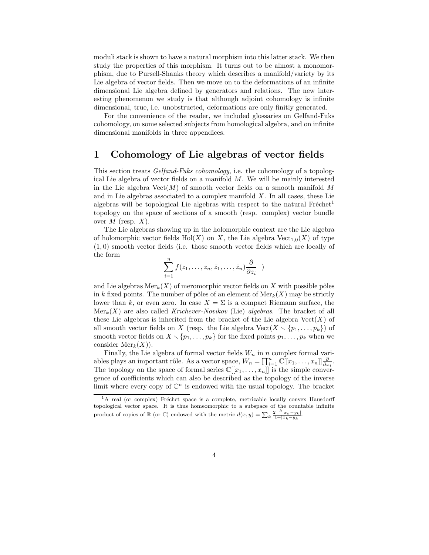moduli stack is shown to have a natural morphism into this latter stack. We then study the properties of this morphism. It turns out to be almost a monomorphism, due to Pursell-Shanks theory which describes a manifold/variety by its Lie algebra of vector fields. Then we move on to the deformations of an infinite dimensional Lie algebra defined by generators and relations. The new interesting phenomenon we study is that although adjoint cohomology is infinite dimensional, true, i.e. unobstructed, deformations are only finitly generated.

For the convenience of the reader, we included glossaries on Gelfand-Fuks cohomology, on some selected subjects from homological algebra, and on infinite dimensional manifolds in three appendices.

# 1 Cohomology of Lie algebras of vector fields

This section treats Gelfand-Fuks cohomology, i.e. the cohomology of a topological Lie algebra of vector fields on a manifold  $M$ . We will be mainly interested in the Lie algebra  $Vect(M)$  of smooth vector fields on a smooth manifold M and in Lie algebras associated to a complex manifold  $X$ . In all cases, these Lie algebras will be topological Lie algebras with respect to the natural  $Freftext{ref}$ <sup>1</sup> topology on the space of sections of a smooth (resp. complex) vector bundle over  $M$  (resp.  $X$ ).

The Lie algebras showing up in the holomorphic context are the Lie algebra of holomorphic vector fields  $Hol(X)$  on X, the Lie algebra  $Vect_{1,0}(X)$  of type (1, 0) smooth vector fields (i.e. those smooth vector fields which are locally of the form

$$
\sum_{i=1}^n f(z_1,\ldots,z_n,\bar{z}_1,\ldots,\bar{z}_n) \frac{\partial}{\partial z_i} )
$$

and Lie algebras  $\text{Mer}_k(X)$  of meromorphic vector fields on X with possible pôles in k fixed points. The number of pôles of an element of  $\text{Mer}_k(X)$  may be strictly lower than k, or even zero. In case  $X = \Sigma$  is a compact Riemann surface, the  $Mer_k(X)$  are also called Krichever-Novikov (Lie) algebras. The bracket of all these Lie algebras is inherited from the bracket of the Lie algebra  $Vect(X)$  of all smooth vector fields on X (resp. the Lie algebra  $Vect(X \setminus {p_1, \ldots, p_k})$  of smooth vector fields on  $X \setminus \{p_1, \ldots, p_k\}$  for the fixed points  $p_1, \ldots, p_k$  when we consider  $\mathrm{Mer}_k(X)$ ).

Finally, the Lie algebra of formal vector fields  $W_n$  in n complex formal variables plays an important rôle. As a vector space,  $W_n = \prod_{i=1}^n \mathbb{C}[[x_1, \ldots, x_n]] \frac{\partial}{\partial x_i}$ . The topology on the space of formal series  $\mathbb{C}[[x_1,\ldots,x_n]]$  is the simple convergence of coefficients which can also be described as the topology of the inverse limit where every copy of  $\mathbb{C}^n$  is endowed with the usual topology. The bracket

 ${}^{1}$ A real (or complex) Fréchet space is a complete, metrizable locally convex Hausdorff topological vector space. It is thus homeomorphic to a subspace of the countable infinite product of copies of  $\mathbb R$  (or  $\mathbb C$ ) endowed with the metric  $d(x,y) = \sum_k \frac{2^{-k}|x_k-y_k|}{1+|x_k-y_k|}$ .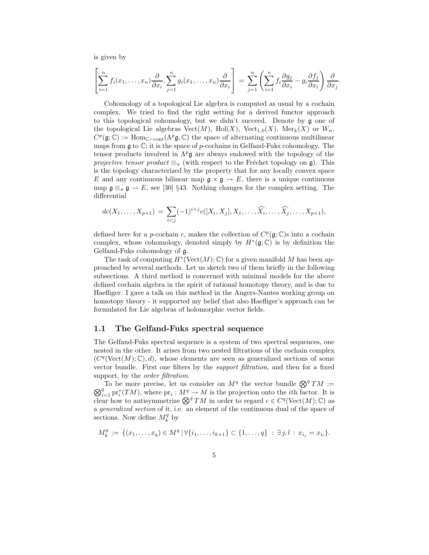is given by

$$
\left[\sum_{i=1}^n f_i(x_1,\ldots,x_n)\frac{\partial}{\partial x_i},\sum_{j=1}^n g_i(x_1,\ldots,x_n)\frac{\partial}{\partial x_i}\right] = \sum_{j=1}^n \left(\sum_{i=1}^n f_i\frac{\partial g_j}{\partial x_i} - g_i\frac{\partial f_j}{\partial x_i}\right)\frac{\partial}{\partial x_j}.
$$

Cohomology of a topological Lie algebra is computed as usual by a cochain complex. We tried to find the right setting for a derived functor approach to this topological cohomology, but we didn't succeed. Denote by g one of the topological Lie algebras  $Vect(M)$ ,  $Hol(X)$ ,  $Vect_{1,0}(X)$ ,  $Mer_k(X)$  or  $W_n$ .  $C^p(\mathfrak{g};\mathbb{C}) := \text{Hom}_{\mathbb{C}-\text{cont}}(\Lambda^p \mathfrak{g}, \mathbb{C})$  the space of alternating continuous multilinear maps from  $\mathfrak g$  to  $\mathbb C$ ; it is the space of p-cochains in Gelfand-Fuks cohomology. The tensor products involved in  $\Lambda^p$ **g** are always endowed with the topology of the *projective tensor product*  $\otimes_{\pi}$  (with respect to the Fréchet topology on g). This is the topology characterized by the property that for any locally convex space E and any continuous bilinear map  $\mathfrak{g} \times \mathfrak{g} \to E$ , there is a unique continuous map  $\mathfrak{g} \otimes_{\pi} \mathfrak{g} \to E$ , see [30] §43. Nothing changes for the complex setting. The differential

$$
dc(X_1, ..., X_{p+1}) = \sum_{i < j} (-1)^{i+j} c([X_i, X_j], X_1, ..., \widehat{X_i}, ..., \widehat{X_j}, ..., X_{p+1}),
$$

defined here for a *p*-cochain c, makes the collection of  $C^p(\mathfrak{g}; \mathbb{C})$ s into a cochain complex, whose cohomology, denoted simply by  $H^*(\mathfrak{g};\mathbb{C})$  is by definition the Gelfand-Fuks cohomology of g.

The task of computing  $H^*(\text{Vect}(M);\mathbb{C})$  for a given manifold M has been approached by several methods. Let us sketch two of them briefly in the following subsections. A third method is concerned with minimal models for the above defined cochain algebra in the spirit of rational homotopy theory, and is due to Haefliger. I gave a talk on this method in the Angers-Nantes working group on homotopy theory - it supported my belief that also Haefliger's approach can be formulated for Lie algebras of holomorphic vector fields.

#### 1.1 The Gelfand-Fuks spectral sequence

The Gelfand-Fuks spectral sequence is a system of two spectral sequences, one nested in the other. It arises from two nested filtrations of the cochain complex  $(C<sup>q</sup>(Vect(M); \mathbb{C}), d)$ , whose elements are seen as generalized sections of some vector bundle. First one filters by the support filtration, and then for a fixed support, by the *order filtration*.

To be more precise, let us consider on  $M<sup>q</sup>$  the vector bundle  $\bigotimes^q TM :=$  $\bigotimes_{i=1}^q \text{pr}_i^*(TM)$ , where  $\text{pr}_i: M^q \to M$  is the projection onto the *i*th factor. It is clear how to antisymmetrize  $\bigotimes^q TM$  in order to regard  $c \in C^q(\text{Vect}(M); \mathbb{C})$  as a generalized section of it, i.e. an element of the continuous dual of the space of sections. Now define  $M_k^q$  by

$$
M_k^q := \{ (x_1, \ldots, x_q) \in M^q \, | \, \forall \{i_1, \ldots, i_{k+1}\} \subset \{1, \ldots, q\} \; : \; \exists j, l \, : \, x_{i_j} = x_{i_l} \}.
$$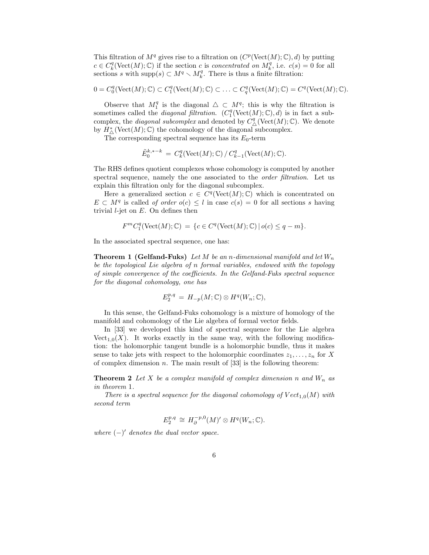This filtration of  $M<sup>q</sup>$  gives rise to a filtration on  $(C<sup>p</sup>(Vect(M); \mathbb{C}), d)$  by putting  $c \in C_k^q(\text{Vect}(M); \mathbb{C})$  if the section c is concentrated on  $M_k^q$ , i.e.  $c(s) = 0$  for all sections s with supp $(s) \subset M^q \setminus M_k^q$ . There is thus a finite filtration:

$$
0 = C_0^q(\text{Vect}(M); \mathbb{C}) \subset C_1^q(\text{Vect}(M); \mathbb{C}) \subset \ldots \subset C_q^q(\text{Vect}(M); \mathbb{C}) = C^q(\text{Vect}(M); \mathbb{C}).
$$

Observe that  $M_1^q$  is the diagonal  $\triangle \subset M^q$ ; this is why the filtration is sometimes called the *diagonal filtration.*  $(C_1^q(\text{Vect}(M);\mathbb{C}), d)$  is in fact a subcomplex, the *diagonal subcomplex* and denoted by  $C^q_{\Delta}(\text{Vect}(M); \mathbb{C})$ . We denote by  $H^*_{\Delta}(\text{Vect}(M); \mathbb{C})$  the cohomology of the diagonal subcomplex.

The corresponding spectral sequence has its  $E_0$ -term

$$
\tilde{E}_0^{k,*-k} = C_k^q(\text{Vect}(M); \mathbb{C}) / C_{k-1}^q(\text{Vect}(M); \mathbb{C}).
$$

The RHS defines quotient complexes whose cohomology is computed by another spectral sequence, namely the one associated to the *order filtration*. Let us explain this filtration only for the diagonal subcomplex.

Here a generalized section  $c \in C^q(\text{Vect}(M); \mathbb{C})$  which is concentrated on  $E \subset M<sup>q</sup>$  is called of order  $o(c) \leq l$  in case  $c(s) = 0$  for all sections s having trivial  $l$ -jet on  $E$ . On defines then

$$
F^m C_1^q(\text{Vect}(M); \mathbb{C}) = \{c \in C^q(\text{Vect}(M); \mathbb{C}) \mid o(c) \leq q - m\}.
$$

In the associated spectral sequence, one has:

**Theorem 1 (Gelfand-Fuks)** Let M be an n-dimensional manifold and let  $W_n$ be the topological Lie algebra of n formal variables, endowed with the topology of simple convergence of the coefficients. In the Gelfand-Fuks spectral sequence for the diagonal cohomology, one has

$$
E_2^{p,q} = H_{-p}(M; \mathbb{C}) \otimes H^q(W_n; \mathbb{C}),
$$

In this sense, the Gelfand-Fuks cohomology is a mixture of homology of the manifold and cohomology of the Lie algebra of formal vector fields.

In [33] we developed this kind of spectral sequence for the Lie algebra Vect<sub>1,0</sub> $(X)$ . It works exactly in the same way, with the following modification: the holomorphic tangent bundle is a holomorphic bundle, thus it makes sense to take jets with respect to the holomorphic coordinates  $z_1, \ldots, z_n$  for X of complex dimension  $n$ . The main result of [33] is the following theorem:

**Theorem 2** Let X be a complex manifold of complex dimension n and  $W_n$  as in theorem 1.

There is a spectral sequence for the diagonal cohomology of  $Vect_{1,0}(M)$  with second term

$$
E_2^{p,q} \cong H_{\partial}^{-p,0}(M)' \otimes H^q(W_n; \mathbb{C}).
$$

where  $(-)'$  denotes the dual vector space.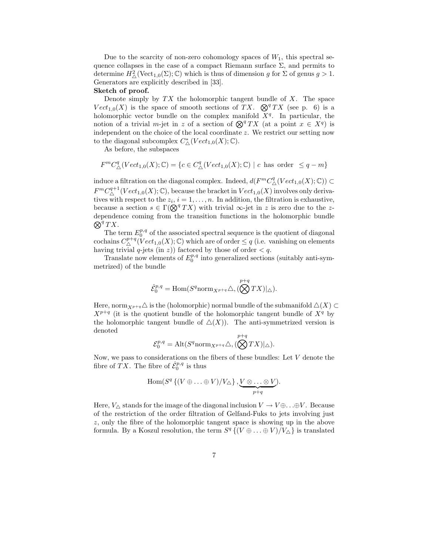Due to the scarcity of non-zero cohomology spaces of  $W_1$ , this spectral sequence collapses in the case of a compact Riemann surface  $\Sigma$ , and permits to determine  $H^2_{\Delta}(\text{Vect}_{1,0}(\Sigma);\mathbb{C})$  which is thus of dimension g for  $\Sigma$  of genus  $g > 1$ . Generators are explicitly described in [33].

#### Sketch of proof.

Denote simply by  $TX$  the holomorphic tangent bundle of  $X$ . The space  $Vect_{1,0}(X)$  is the space of smooth sections of TX.  $\mathcal{D}^{q}TX$  (see p. 6) is a holomorphic vector bundle on the complex manifold  $X<sup>q</sup>$ . In particular, the notion of a trivial m-jet in z of a section of  $\mathcal{Q}^q TX$  (at a point  $x \in X^q$ ) is independent on the choice of the local coordinate z. We restrict our setting now to the diagonal subcomplex  $C^*_{\Delta}(Vect_{1,0}(X);\mathbb{C})$ .

As before, the subspaces

$$
F^m C^q_\triangle (Vect_{1,0}(X);\mathbb{C}) = \{c \in C^q_\triangle (Vect_{1,0}(X);\mathbb{C}) \mid c \text{ has order } \leq q - m\}
$$

induce a filtration on the diagonal complex. Indeed,  $d(F^m C^q_\Delta (Vect_{1,0}(X);\mathbb{C})) \subset$  $F^m C^{q+1}_{\Delta}(Vect_{1,0}(X);\mathbb{C})$ , because the bracket in  $Vect_{1,0}(X)$  involves only derivatives with respect to the  $z_i$ ,  $i = 1, \ldots, n$ . In addition, the filtration is exhaustive, because a section  $s \in \Gamma(\bigotimes^q TX)$  with trivial  $\infty$ -jet in z is zero due to the zdependence coming from the transition functions in the holo morphic bundle  $\bar{\bigotimes}^q TX$ .

The term  $E_0^{p,q}$  of the associated spectral sequence is the quotient of diagonal cochains  $C^{p+q}_{\triangle}(Vect_{1,0}(X);\mathbb{C})$  which are of order  $\leq q$  (i.e. vanishing on elements having trivial  $q$ -jets (in z)) factored by those of order  $\lt q$ .

Translate now elements of  $E_0^{p,q}$  into generalized sections (suitably anti-symmetrized) of the bundle

$$
\hat{\mathcal{E}}_{0}^{p,q} = \text{Hom}(S^{q} \text{norm}_{X^{p+q}} \triangle, (\bigotimes^{p+q} TX)|_{\triangle}).
$$

Here, norm  $_{X^{p+q}}\Delta$  is the (holomorphic) normal bundle of the submanifold  $\Delta(X) \subset$  $X^{p+q}$  (it is the quotient bundle of the holomorphic tangent bundle of  $X^q$  by the holomorphic tangent bundle of  $\Delta(X)$ ). The anti-symmetrized version is denoted

$$
\mathcal{E}_0^{p,q} = \mathrm{Alt}(S^q \mathrm{norm}_{X^{p+q}} \triangle, (\bigotimes^{p+q} TX)|_{\triangle}).
$$

Now, we pass to considerations on the fibers of these bundles: Let  $V$  denote the fibre of  $\overline{T}X$ . The fibre of  $\hat{\mathcal{E}}_0^{p,q}$  is thus

$$
\mathrm{Hom}(S^q \left\{ (V \oplus \ldots \oplus V) / V_{\triangle} \right\}, \underbrace{V \otimes \ldots \otimes V}_{p+q}).
$$

Here,  $V_{\Delta}$  stands for the image of the diagonal inclusion  $V \to V \oplus \ldots \oplus V$ . Because of the restriction of the order filtration of Gelfand-Fuks to jets involving just z, only the fibre of the holomorphic tangent space is showing up in the above formula. By a Koszul resolution, the term  $S^q \{ (V \oplus \ldots \oplus V) / V_\triangle \}$  is translated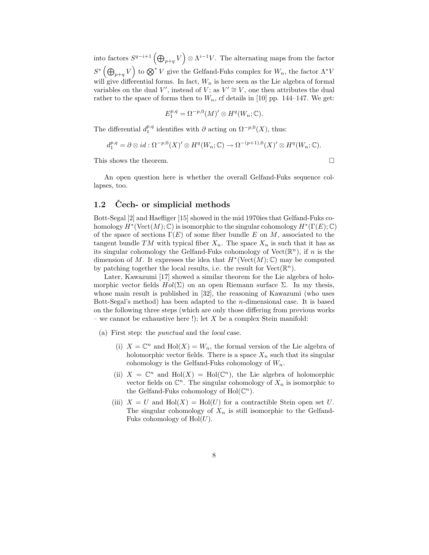into factors  $S^{q-i+1}(\bigoplus_{p+q}V)\otimes \Lambda^{i-1}V$ . The alternating maps from the factor  $S^*$   $(\bigoplus_{p+q} V)$  to  $\bigotimes^* V$  give the Gelfand-Fuks complex for  $W_n$ , the factor  $\Lambda^* V$ will give differential forms. In fact,  $W_n$  is here seen as the Lie algebra of formal variables on the dual V', instead of V; as  $V' \cong V$ , one then attributes the dual rather to the space of forms then to  $W_n$ , cf details in [10] pp. 144–147. We get:

$$
E_1^{p,q} = \Omega^{-p,0}(M)' \otimes H^q(W_n; \mathbb{C}).
$$

The differential  $d_1^{p,q}$  identifies with  $\partial$  acting on  $\Omega^{-p,0}(X)$ , thus:

$$
d_1^{p,q} = \partial \otimes id : \Omega^{-p,0}(X)' \otimes H^q(W_n; \mathbb{C}) \to \Omega^{-(p+1),0}(X)' \otimes H^q(W_n; \mathbb{C}).
$$

This shows the theorem.  $\Box$ 

An open question here is whether the overall Gelfand-Fuks sequence collapses, too.

#### 1.2 Cech- or simplicial methods

Bott-Segal [2] and Haefliger [15] showed in the mid 1970ies that Gelfand-Fuks cohomology  $H^*(\mathrm{Vect}(M);\mathbb{C})$  is isomorphic to the singular cohomology  $H^*(\Gamma(E);\mathbb{C})$ of the space of sections  $\Gamma(E)$  of some fiber bundle E on M, associated to the tangent bundle TM with typical fiber  $X_n$ . The space  $X_n$  is such that it has as its singular cohomology the Gelfand-Fuks cohomology of Vect $(\mathbb{R}^n)$ , if n is the dimension of M. It expresses the idea that  $H^*(\text{Vect}(M);\mathbb{C})$  may be computed by patching together the local results, i.e. the result for  $Vect(\mathbb{R}^n)$ .

Later, Kawazumi [17] showed a similar theorem for the Lie algebra of holomorphic vector fields  $Hol(\Sigma)$  on an open Riemann surface  $\Sigma$ . In my thesis, whose main result is published in [32], the reasoning of Kawazumi (who uses Bott-Segal's method) has been adapted to the n-dimensional case. It is based on the following three steps (which are only those differing from previous works – we cannot be exhaustive here !); let  $X$  be a complex Stein manifold:

- (a) First step: the punctual and the local case.
	- (i)  $X = \mathbb{C}^n$  and  $\text{Hol}(X) = W_n$ , the formal version of the Lie algebra of holomorphic vector fields. There is a space  $X_n$  such that its singular cohomology is the Gelfand-Fuks cohomology of  $W_n$ .
	- (ii)  $X = \mathbb{C}^n$  and  $\text{Hol}(X) = \text{Hol}(\mathbb{C}^n)$ , the Lie algebra of holomorphic vector fields on  $\mathbb{C}^n$ . The singular cohomology of  $X_n$  is isomorphic to the Gelfand-Fuks cohomology of  $\text{Hol}(\mathbb{C}^n)$ .
	- (iii)  $X = U$  and  $Hol(X) = Hol(U)$  for a contractible Stein open set U. The singular cohomology of  $X_n$  is still isomorphic to the Gelfand-Fuks cohomology of  $Hol(U)$ .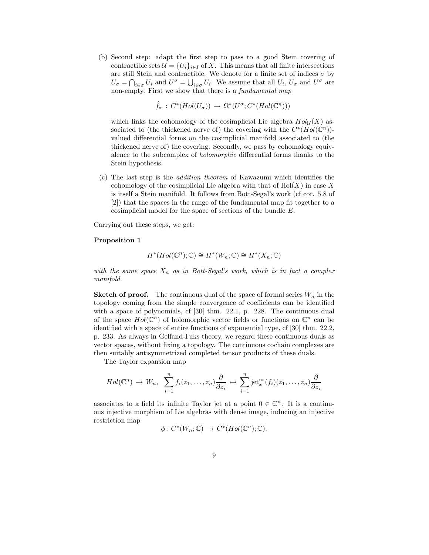(b) Second step: adapt the first step to pass to a good Stein covering of contractible sets  $\mathcal{U} = \{U_i\}_{i \in I}$  of X. This means that all finite intersections are still Stein and contractible. We denote for a finite set of indices  $\sigma$  by  $U_{\sigma} = \bigcap_{i \in \sigma} U_i$  and  $U^{\sigma} = \bigcup_{i \in \sigma} U_i$ . We assume that all  $U_i$ ,  $U_{\sigma}$  and  $U^{\sigma}$  are non-empty. First we show that there is a *fundamental map* 

 $\hat{f}_{\sigma}: C^*(Hol(U_{\sigma})) \rightarrow \Omega^*(U^{\sigma}; C^*(Hol(\mathbb{C}^n)))$ 

which links the cohomology of the cosimplicial Lie algebra  $Hol_{\mathcal{U}}(X)$  associated to (the thickened nerve of) the covering with the  $C^*(Hol(\mathbb{C}^n))$ valued differential forms on the cosimplicial manifold associated to (the thickened nerve of) the covering. Secondly, we pass by cohomology equivalence to the subcomplex of holomorphic differential forms thanks to the Stein hypothesis.

(c) The last step is the addition theorem of Kawazumi which identifies the cohomology of the cosimplicial Lie algebra with that of  $Hol(X)$  in case X is itself a Stein manifold. It follows from Bott-Segal's work (cf cor. 5.8 of [2]) that the spaces in the range of the fundamental map fit together to a cosimplicial model for the space of sections of the bundle E.

Carrying out these steps, we get:

#### Proposition 1

$$
H^*(Hol(\mathbb{C}^n);\mathbb{C}) \cong H^*(W_n;\mathbb{C}) \cong H^*(X_n;\mathbb{C})
$$

with the same space  $X_n$  as in Bott-Segal's work, which is in fact a complex manifold.

**Sketch of proof.** The continuous dual of the space of formal series  $W_n$  in the topology coming from the simple convergence of coefficients can be identified with a space of polynomials, cf [30] thm. 22.1, p. 228. The continuous dual of the space  $Hol(\mathbb{C}^n)$  of holomorphic vector fields or functions on  $\mathbb{C}^n$  can be identified with a space of entire functions of exponential type, cf [30] thm. 22.2, p. 233. As always in Gelfand-Fuks theory, we regard these continuous duals as vector spaces, without fixing a topology. The continuous cochain complexes are then suitably antisymmetrized completed tensor products of these duals.

The Taylor expansion map

$$
Hol(\mathbb{C}^n) \to W_n, \ \ \sum_{i=1}^n f_i(z_1,\ldots,z_n) \frac{\partial}{\partial z_i} \mapsto \sum_{i=1}^n \mathrm{jet}_x^{\infty}(f_i)(z_1,\ldots,z_n) \frac{\partial}{\partial z_i}
$$

associates to a field its infinite Taylor jet at a point  $0 \in \mathbb{C}^n$ . It is a continuous injective morphism of Lie algebras with dense image, inducing an injective restriction map

$$
\phi: C^*(W_n; \mathbb{C}) \to C^*(Hol(\mathbb{C}^n); \mathbb{C}).
$$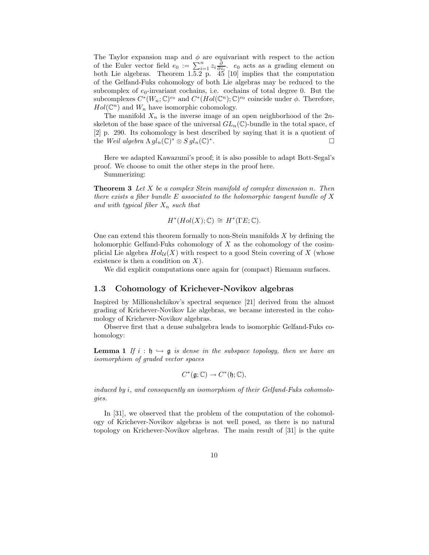The Taylor expansion map and  $\phi$  are equivariant with respect to the action of the Euler vector field  $e_0 := \sum_{i=1}^n z_i \frac{\partial}{\partial z_i}$ .  $e_0$  acts as a grading element on both Lie algebras. Theorem 1.5.2 p. 45 [10] implies that the computation of the Gelfand-Fuks cohomology of both Lie algebras may be reduced to the subcomplex of  $e_0$ -invariant cochains, i.e. cochains of total degree 0. But the subcomplexes  $C^*(W_n; \mathbb{C})^{e_0}$  and  $C^*(Hol(\mathbb{C}^n); \mathbb{C})^{e_0}$  coincide under  $\phi$ . Therefore,  $Hol(\mathbb{C}^n)$  and  $W_n$  have isomorphic cohomology.

The manifold  $X_n$  is the inverse image of an open neighborhood of the  $2n$ skeleton of the base space of the universal  $GL_n(\mathbb{C})$ -bundle in the total space, cf [2] p. 290. Its cohomology is best described by saying that it is a quotient of the Weil algebra  $\Lambda gl_n(\mathbb{C})^* \otimes Sgl_n(\mathbb{C})^*$ . В последните последните последните под и при последните под последните под и при последните под и<br>Село в последните под и при последните под и при под и при под и при под и при под и при под и при под и при п

Here we adapted Kawazumi's proof; it is also possible to adapt Bott-Segal's proof. We choose to omit the other steps in the proof here.

Summerizing:

**Theorem 3** Let  $X$  be a complex Stein manifold of complex dimension n. Then there exists a fiber bundle  $E$  associated to the holomorphic tangent bundle of  $X$ and with typical fiber  $X_n$  such that

$$
H^*(Hol(X); \mathbb{C}) \cong H^*(\Gamma E; \mathbb{C}).
$$

One can extend this theorem formally to non-Stein manifolds X by defining the holomorphic Gelfand-Fuks cohomology of  $X$  as the cohomology of the cosimplicial Lie algebra  $Hol_{\mathcal{U}}(X)$  with respect to a good Stein covering of X (whose existence is then a condition on  $X$ ).

We did explicit computations once again for (compact) Riemann surfaces.

#### 1.3 Cohomology of Krichever-Novikov algebras

Inspired by Millionshchikov's spectral sequence [21] derived from the almost grading of Krichever-Novikov Lie algebras, we became interested in the cohomology of Krichever-Novikov algebras.

Observe first that a dense subalgebra leads to isomorphic Gelfand-Fuks cohomology:

**Lemma 1** If  $i : \mathfrak{h} \hookrightarrow \mathfrak{g}$  is dense in the subspace topology, then we have an isomorphism of graded vector spaces

$$
C^*(\mathfrak{g};\mathbb{C})\to C^*(\mathfrak{h};\mathbb{C}),
$$

induced by i, and consequently an isomorphism of their Gelfand-Fuks cohomologies.

In [31], we observed that the problem of the computation of the cohomology of Krichever-Novikov algebras is not well posed, as there is no natural topology on Krichever-Novikov algebras. The main result of [31] is the quite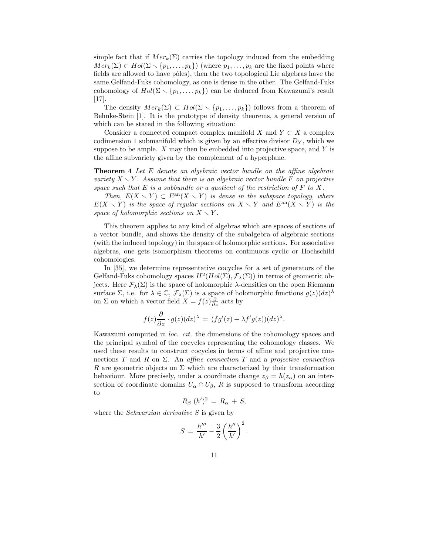simple fact that if  $Mer_k(\Sigma)$  carries the topology induced from the embedding  $Mer_k(\Sigma) \subset Hol(\Sigma \setminus \{p_1, \ldots, p_k\})$  (where  $p_1, \ldots, p_k$  are the fixed points where fields are allowed to have pôles), then the two topological Lie algebras have the same Gelfand-Fuks cohomology, as one is dense in the other. The Gelfand-Fuks cohomology of  $Hol(\Sigma \setminus \{p_1, \ldots, p_k\})$  can be deduced from Kawazumi's result [17].

The density  $Mer_k(\Sigma) \subset Hol(\Sigma \setminus \{p_1, \ldots, p_k\})$  follows from a theorem of Behnke-Stein [1]. It is the prototype of density theorems, a general version of which can be stated in the following situation:

Consider a connected compact complex manifold X and  $Y \subset X$  a complex codimension 1 submanifold which is given by an effective divisor  $D<sub>Y</sub>$ , which we suppose to be ample.  $X$  may then be embedded into projective space, and  $Y$  is the affine subvariety given by the complement of a hyperplane.

**Theorem 4** Let E denote an algebraic vector bundle on the affine algebraic variety  $X \setminus Y$ . Assume that there is an algebraic vector bundle F on projective space such that  $E$  is a subbundle or a quotient of the restriction of  $F$  to  $X$ .

Then,  $E(X \setminus Y) \subset E^{an}(X \setminus Y)$  is dense in the subspace topology, where  $E(X \setminus Y)$  is the space of regular sections on  $X \setminus Y$  and  $E^{\text{an}}(X \setminus Y)$  is the space of holomorphic sections on  $X \setminus Y$ .

This theorem applies to any kind of algebras which are spaces of sections of a vector bundle, and shows the density of the subalgebra of algebraic sections (with the induced topology) in the space of holomorphic sections. For associative algebras, one gets isomorphism theorems on continuous cyclic or Hochschild cohomologies.

In [35], we determine representative cocycles for a set of generators of the Gelfand-Fuks cohomology spaces  $H^2(Hol(\Sigma), \mathcal{F}_{\lambda}(\Sigma))$  in terms of geometric objects. Here  $\mathcal{F}_{\lambda}(\Sigma)$  is the space of holomorphic  $\lambda$ -densities on the open Riemann surface  $\Sigma$ , i.e. for  $\lambda \in \mathbb{C}$ ,  $\mathcal{F}_{\lambda}(\Sigma)$  is a space of holomorphic functions  $g(z)(dz)^{\lambda}$ on  $\Sigma$  on which a vector field  $X = f(z) \frac{\partial}{\partial z}$  acts by

$$
f(z)\frac{\partial}{\partial z} \cdot g(z)(dz)^{\lambda} = (fg'(z) + \lambda f'g(z))(dz)^{\lambda}.
$$

Kawazumi computed in loc. cit. the dimensions of the cohomology spaces and the principal symbol of the cocycles representing the cohomology classes. We used these results to construct cocycles in terms of affine and projective connections T and R on  $\Sigma$ . An affine connection T and a projective connection R are geometric objects on  $\Sigma$  which are characterized by their transformation behaviour. More precisely, under a coordinate change  $z_{\beta} = h(z_{\alpha})$  on an intersection of coordinate domains  $U_{\alpha} \cap U_{\beta}$ , R is supposed to transform according to

$$
R_{\beta}(h')^2 = R_{\alpha} + S,
$$

where the *Schwarzian derivative* S is given by

$$
S = \frac{h'''}{h'} - \frac{3}{2} \left(\frac{h''}{h'}\right)^2.
$$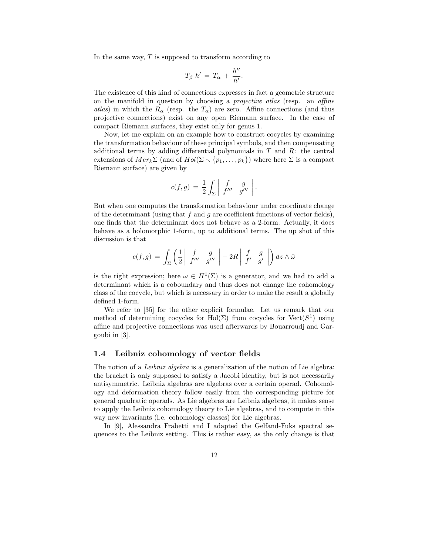In the same way,  $T$  is supposed to transform according to

$$
T_{\beta} h' = T_{\alpha} + \frac{h''}{h'}.
$$

The existence of this kind of connections expresses in fact a geometric structure on the manifold in question by choosing a projective atlas (resp. an affine atlas) in which the  $R_{\alpha}$  (resp. the  $T_{\alpha}$ ) are zero. Affine connections (and thus projective connections) exist on any open Riemann surface. In the case of compact Riemann surfaces, they exist only for genus 1.

Now, let me explain on an example how to construct cocycles by examining the transformation behaviour of these principal symbols, and then compensating additional terms by adding differential polynomials in  $T$  and  $R$ : the central extensions of  $Mer_k \Sigma$  (and of  $Hol(\Sigma \setminus \{p_1, \ldots, p_k\})$  where here  $\Sigma$  is a compact Riemann surface) are given by

$$
c(f,g) \,=\, \frac{1}{2}\int_\Sigma \left|\begin{array}{cc} f & g \\ f''' & g''' \end{array}\right|.
$$

But when one computes the transformation behaviour under coordinate change of the determinant (using that f and q are coefficient functions of vector fields), one finds that the determinant does not behave as a 2-form. Actually, it does behave as a holomorphic 1-form, up to additional terms. The up shot of this discussion is that

$$
c(f,g) = \int_{\Sigma} \left( \frac{1}{2} \left| \begin{array}{cc} f & g \\ f''' & g''' \end{array} \right| - 2R \left| \begin{array}{cc} f & g \\ f' & g' \end{array} \right| \right) dz \wedge \bar{\omega}
$$

is the right expression; here  $\omega \in H^1(\Sigma)$  is a generator, and we had to add a determinant which is a coboundary and thus does not change the cohomology class of the cocycle, but which is necessary in order to make the result a globally defined 1-form.

We refer to [35] for the other explicit formulae. Let us remark that our method of determining cocycles for Hol( $\Sigma$ ) from cocycles for Vect( $S<sup>1</sup>$ ) using affine and projective connections was used afterwards by Bouarroudj and Gargoubi in [3].

#### 1.4 Leibniz cohomology of vector fields

The notion of a *Leibniz algebra* is a generalization of the notion of Lie algebra: the bracket is only supposed to satisfy a Jacobi identity, but is not necessarily antisymmetric. Leibniz algebras are algebras over a certain operad. Cohomology and deformation theory follow easily from the corresponding picture for general quadratic operads. As Lie algebras are Leibniz algebras, it makes sense to apply the Leibniz cohomology theory to Lie algebras, and to compute in this way new invariants (i.e. cohomology classes) for Lie algebras.

In [9], Alessandra Frabetti and I adapted the Gelfand-Fuks spectral sequences to the Leibniz setting. This is rather easy, as the only change is that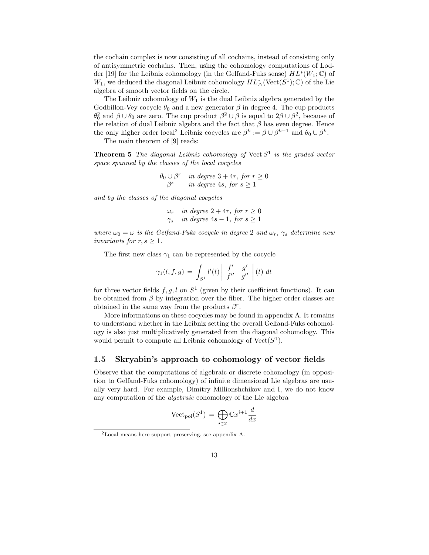the cochain complex is now consisting of all cochains, instead of consisting only of antisymmetric cochains. Then, using the cohomology computations of Lodder [19] for the Leibniz cohomology (in the Gelfand-Fuks sense)  $HL^*(W_1;\mathbb{C})$  of  $W_1$ , we deduced the diagonal Leibniz cohomology  $HL^*_{\Delta}(\text{Vect}(S^1);\mathbb{C})$  of the Lie algebra of smooth vector fields on the circle.

The Leibniz cohomology of  $W_1$  is the dual Leibniz algebra generated by the Godbillon-Vey cocycle  $\theta_0$  and a new generator  $\beta$  in degree 4. The cup products  $\theta_0^2$  and  $\beta \cup \theta_0$  are zero. The cup product  $\beta^2 \cup \beta$  is equal to  $2\beta \cup \beta^2$ , because of the relation of dual Leibniz algebra and the fact that  $\beta$  has even degree. Hence the only higher order local<sup>2</sup> Leibniz cocycles are  $\beta^k := \beta \cup \beta^{k-1}$  and  $\theta_0 \cup \beta^k$ .

The main theorem of [9] reads:

**Theorem 5** The diagonal Leibniz cohomology of Vect  $S<sup>1</sup>$  is the graded vector space spanned by the classes of the local cocycles

$$
\theta_0 \cup \beta^r \quad \text{in degree } 3 + 4r, \text{ for } r \ge 0
$$
  

$$
\beta^s \quad \text{in degree } 4s, \text{ for } s \ge 1
$$

and by the classes of the diagonal cocycles

 $\omega_r$  in degree  $2 + 4r$ , for  $r \geq 0$  $\gamma_s$  in degree 4s – 1, for  $s \geq 1$ 

where  $\omega_0 = \omega$  is the Gelfand-Fuks cocycle in degree 2 and  $\omega_r$ ,  $\gamma_s$  determine new invariants for  $r, s \geq 1$ .

The first new class  $\gamma_1$  can be represented by the cocycle

$$
\gamma_1(l, f, g) = \int_{S^1} l'(t) \left| \begin{array}{cc} f' & g' \\ f'' & g'' \end{array} \right| (t) dt
$$

for three vector fields  $f, g, l$  on  $S<sup>1</sup>$  (given by their coefficient functions). It can be obtained from  $\beta$  by integration over the fiber. The higher order classes are obtained in the same way from the products  $\beta^r$ .

More informations on these cocycles may be found in appendix A. It remains to understand whether in the Leibniz setting the overall Gelfand-Fuks cohomology is also just multiplicatively generated from the diagonal cohomology. This would permit to compute all Leibniz cohomology of  $Vect(S^1)$ .

#### 1.5 Skryabin's approach to cohomology of vector fields

Observe that the computations of algebraic or discrete cohomology (in opposition to Gelfand-Fuks cohomology) of infinite dimensional Lie algebras are usually very hard. For example, Dimitry Millionshchikov and I, we do not know any computation of the algebraic cohomology of the Lie algebra

$$
\text{Vect}_{\text{pol}}(S^1) = \bigoplus_{i \in \mathbb{Z}} \mathbb{C}x^{i+1} \frac{d}{dx}
$$

<sup>2</sup>Local means here support preserving, see appendix A.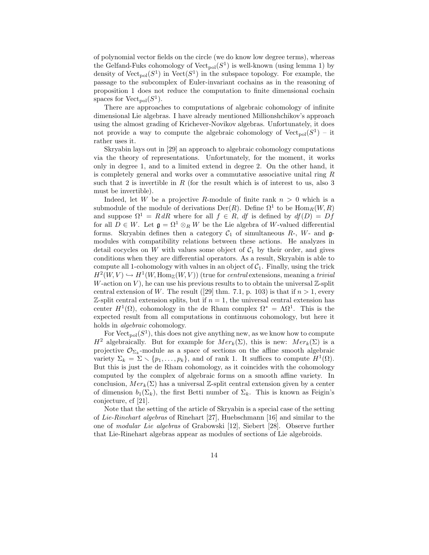of polynomial vector fields on the circle (we do know low degree terms), whereas the Gelfand-Fuks cohomology of  $Vect_{pol}(S^1)$  is well-known (using lemma 1) by density of  $Vect_{pol}(S^1)$  in  $Vect(S^1)$  in the subspace topology. For example, the passage to the subcomplex of Euler-invariant cochains as in the reasoning of proposition 1 does not reduce the computation to finite dimensional cochain spaces for  $Vect_{pol}(S^1)$ .

There are approaches to computations of algebraic cohomology of infinite dimensional Lie algebras. I have already mentioned Millionshchikov's approach using the almost grading of Krichever-Novikov algebras. Unfortunately, it does not provide a way to compute the algebraic cohomology of  $Vect_{pol}(S^1) - it$ rather uses it.

Skryabin lays out in [29] an approach to algebraic cohomology computations via the theory of representations. Unfortunately, for the moment, it works only in degree 1, and to a limited extend in degree 2. On the other hand, it is completely general and works over a commutative associative unital ring R such that 2 is invertible in R (for the result which is of interest to us, also 3 must be invertible).

Indeed, let W be a projective R-module of finite rank  $n > 0$  which is a submodule of the module of derivations  $Der(R)$ . Define  $\Omega^1$  to be  $Hom_R(W, R)$ and suppose  $\Omega^1 = R dR$  where for all  $f \in R$ , df is defined by  $df(D) = Df$ for all  $D \in W$ . Let  $\mathfrak{g} = \Omega^1 \otimes_R W$  be the Lie algebra of W-valued differential forms. Skryabin defines then a category  $C_1$  of simultaneous  $R$ -,  $W$ - and  $\mathfrak{g}$ modules with compatibility relations between these actions. He analyzes in detail cocycles on W with values some object of  $C_1$  by their order, and gives conditions when they are differential operators. As a result, Skryabin is able to compute all 1-cohomology with values in an object of  $C_1$ . Finally, using the trick  $H^2(W, V) \hookrightarrow H^1(W, \text{Hom}_{\mathbb{Z}}(W, V))$  (true for *central* extensions, meaning a *trivial* W-action on  $V$ ), he can use his previous results to to obtain the universal  $\mathbb{Z}$ -split central extension of W. The result ([29] thm. 7.1, p. 103) is that if  $n > 1$ , every  $\mathbb Z$ -split central extension splits, but if  $n = 1$ , the universal central extension has center  $H^1(\Omega)$ , cohomology in the de Rham complex  $\Omega^* = \Lambda \Omega^1$ . This is the expected result from all computations in continuous cohomology, but here it holds in *algebraic* cohomology.

For  $Vect_{pol}(S^1)$ , this does not give anything new, as we know how to compute  $H^2$  algebraically. But for example for  $Mer_k(\Sigma)$ , this is new:  $Mer_k(\Sigma)$  is a projective  $\mathcal{O}_{\Sigma_k}$ -module as a space of sections on the affine smooth algebraic variety  $\Sigma_k = \Sigma \setminus \{p_1, \ldots, p_k\}$ , and of rank 1. It suffices to compute  $H^1(\Omega)$ . But this is just the de Rham cohomology, as it coincides with the cohomology computed by the complex of algebraic forms on a smooth affine variety. In conclusion,  $Mer_k(\Sigma)$  has a universal Z-split central extension given by a center of dimension  $b_1(\Sigma_k)$ , the first Betti number of  $\Sigma_k$ . This is known as Feigin's conjecture, cf [21].

Note that the setting of the article of Skryabin is a special case of the setting of Lie-Rinehart algebras of Rinehart [27], Huebschmann [16] and similar to the one of modular Lie algebras of Grabowski [12], Siebert [28]. Observe further that Lie-Rinehart algebras appear as modules of sections of Lie algebroids.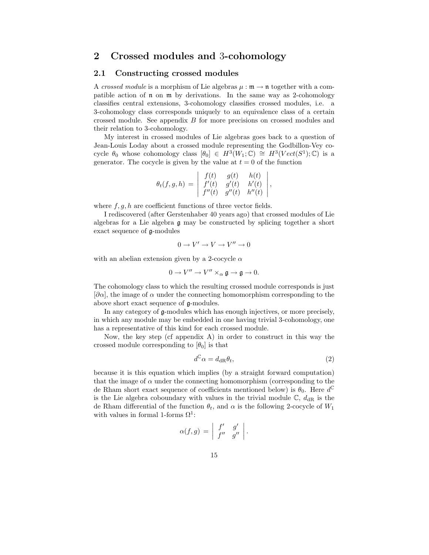## 2 Crossed modules and 3-cohomology

#### 2.1 Constructing crossed modules

A crossed module is a morphism of Lie algebras  $\mu : \mathfrak{m} \to \mathfrak{n}$  together with a compatible action of n on m by derivations. In the same way as 2-cohomology classifies central extensions, 3-cohomology classifies crossed modules, i.e. a 3-cohomology class corresponds uniquely to an equivalence class of a certain crossed module. See appendix B for more precisions on crossed modules and their relation to 3-cohomology.

My interest in crossed modules of Lie algebras goes back to a question of Jean-Louis Loday about a crossed module representing the Godbillon-Vey cocycle  $\theta_0$  whose cohomology class  $[\theta_0] \in H^3(W_1;\mathbb{C}) \cong H^3(Vect(S^1);\mathbb{C})$  is a generator. The cocycle is given by the value at  $t = 0$  of the function

$$
\theta_t(f,g,h) = \begin{vmatrix} f(t) & g(t) & h(t) \\ f'(t) & g'(t) & h'(t) \\ f''(t) & g''(t) & h''(t) \end{vmatrix},
$$

where  $f, g, h$  are coefficient functions of three vector fields.

I rediscovered (after Gerstenhaber 40 years ago) that crossed modules of Lie algebras for a Lie algebra g may be constructed by splicing together a short exact sequence of g-modules

$$
0\to V'\to V\to V''\to 0
$$

with an abelian extension given by a 2-cocycle  $\alpha$ 

$$
0\to V''\to V''\times_\alpha\mathfrak{g}\to\mathfrak{g}\to 0.
$$

The cohomology class to which the resulting crossed module corresponds is just  $[\partial \alpha]$ , the image of  $\alpha$  under the connecting homomorphism corresponding to the above short exact sequence of g-modules.

In any category of g-modules which has enough injectives, or more precisely, in which any module may be embedded in one having trivial 3-cohomology, one has a representative of this kind for each crossed module.

Now, the key step (cf appendix  $A$ ) in order to construct in this way the crossed module corresponding to  $[\theta_0]$  is that

$$
d^{\mathbb{C}}\alpha = d_{\text{dR}}\theta_t,\tag{2}
$$

because it is this equation which implies (by a straight forward computation) that the image of  $\alpha$  under the connecting homomorphism (corresponding to the de Rham short exact sequence of coefficients mentioned below) is  $\theta_0$ . Here  $d^{\mathbb{C}}$ is the Lie algebra coboundary with values in the trivial module  $\mathbb{C}$ ,  $d_{\text{dR}}$  is the de Rham differential of the function  $\theta_t$ , and  $\alpha$  is the following 2-cocycle of  $W_1$ with values in formal 1-forms  $\Omega^1$ :

$$
\alpha(f,g) = \left| \begin{array}{cc} f' & g' \\ f'' & g'' \end{array} \right|.
$$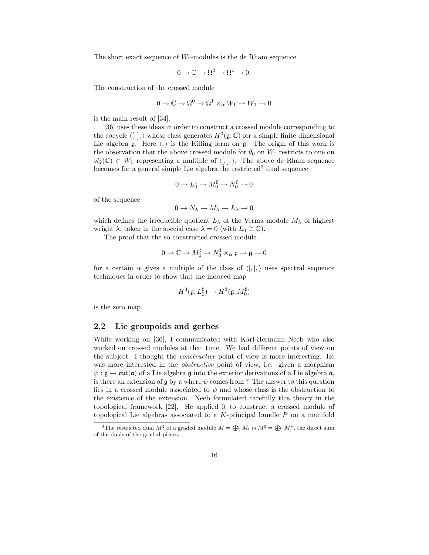The short exact sequence of  $W_1$ -modules is the de Rham sequence

$$
0 \to \mathbb{C} \to \Omega^0 \to \Omega^1 \to 0.
$$

The construction of the crossed module

$$
0 \to \mathbb{C} \to \Omega^0 \to \Omega^1 \times_\alpha W_1 \to W_1 \to 0
$$

is the main result of [34].

[36] uses these ideas in order to construct a crossed module corresponding to the cocycle  $\langle , , \rangle$  whose class generates  $H^3(\mathfrak{g}; \mathbb{C})$  for a simple finite dimensional Lie algebra  $\mathfrak g$ . Here  $\langle,\rangle$  is the Killing form on  $\mathfrak g$ . The origin of this work is the observation that the above crossed module for  $\theta_0$  on  $W_1$  restricts to one on  $sl_2(\mathbb{C}) \subset W_1$  representing a multiple of  $\langle , \cdot \rangle$ . The above de Rham sequence becomes for a general simple Lie algebra the restricted<sup>3</sup> dual sequence

$$
0 \to L_0^\sharp \to M_0^\sharp \to N_0^\sharp \to 0
$$

of the sequence

$$
0\to N_\lambda\to M_\lambda\to L_\lambda\to 0
$$

which defines the irreducible quotient  $L_{\lambda}$  of the Verma module  $M_{\lambda}$  of highest weight  $\lambda$ , taken in the special case  $\lambda = 0$  (with  $L_0 \cong \mathbb{C}$ ).

The proof that the so constructed crossed module

$$
0 \to \mathbb{C} \to M_0^\sharp \to N_0^\sharp \times_\alpha \mathfrak{g} \to \mathfrak{g} \to 0
$$

for a certain  $\alpha$  gives a multiple of the class of  $\langle , \cdot \rangle$  uses spectral sequence techniques in order to show that the induced map

$$
H^3(\mathfrak{g},L_0^\sharp)\to H^3(\mathfrak{g},M_0^\sharp)
$$

is the zero map.

#### 2.2 Lie groupoids and gerbes

While working on [36], I communicated with Karl-Hermann Neeb who also worked on crossed modules at that time. We had different points of view on the subject. I thought the constructive point of view is more interesting. He was more interested in the *obstructive* point of view, i.e. given a morphism  $\psi : \mathfrak{g} \to \mathfrak{out}(\mathfrak{a})$  of a Lie algebra  $\mathfrak{g}$  into the exterior derivations of a Lie algebra  $\mathfrak{a}$ , is there an extension of  $\mathfrak g$  by  $\mathfrak a$  where  $\psi$  comes from ? The answer to this question lies in a crossed module associated to  $\psi$  and whose class is the obstruction to the existence of the extension. Neeb formulated carefully this theory in the topological framework [22]. He applied it to construct a crossed module of topological Lie algebras associated to a  $K$ -principal bundle  $P$  on a manifold

<sup>&</sup>lt;sup>3</sup>The restricted dual  $M^{\sharp}$  of a graded module  $M = \bigoplus_i M_i$  is  $M^{\sharp} = \bigoplus_i M_i^*$ , the direct sum of the duals of the graded pieces.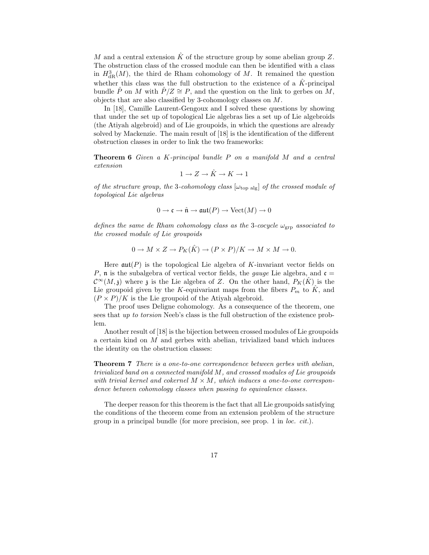M and a central extension  $\hat{K}$  of the structure group by some abelian group Z. The obstruction class of the crossed module can then be identified with a class in  $H_{\text{dR}}^3(M)$ , the third de Rham cohomology of M. It remained the question whether this class was the full obstruction to the existence of a  $\hat{K}$ -principal bundle  $\hat{P}$  on M with  $\hat{P}/Z \cong P$ , and the question on the link to gerbes on M, objects that are also classified by 3-cohomology classes on M.

In [18], Camille Laurent-Gengoux and I solved these questions by showing that under the set up of topological Lie algebras lies a set up of Lie algebroids (the Atiyah algebroid) and of Lie groupoids, in which the questions are already solved by Mackenzie. The main result of [18] is the identification of the different obstruction classes in order to link the two frameworks:

**Theorem 6** Given a  $K$ -principal bundle  $P$  on a manifold  $M$  and a central extension

$$
1 \to Z \to \hat{K} \to K \to 1
$$

of the structure group, the 3-cohomology class  $[\omega_{top\ alg}]$  of the crossed module of topological Lie algebras

$$
0 \to \mathfrak{c} \to \hat{\mathfrak{n}} \to \mathfrak{aut}(P) \to \text{Vect}(M) \to 0
$$

defines the same de Rham cohomology class as the 3-cocycle  $\omega_{\text{grp}}$  associated to the crossed module of Lie groupoids

$$
0 \to M \times Z \to P_K(\hat{K}) \to (P \times P)/K \to M \times M \to 0.
$$

Here  $\mathfrak{aut}(P)$  is the topological Lie algebra of K-invariant vector fields on P, n is the subalgebra of vertical vector fields, the *gauge* Lie algebra, and  $\mathfrak{c} =$  $\mathcal{C}^{\infty}(M,\mathfrak{z})$  where  $\mathfrak{z}$  is the Lie algebra of Z. On the other hand,  $P_K(\hat{K})$  is the Lie groupoid given by the K-equivariant maps from the fibers  $P_m$  to  $\tilde{K}$ , and  $(P \times P)/K$  is the Lie groupoid of the Atiyah algebroid.

The proof uses Deligne cohomology. As a consequence of the theorem, one sees that up to torsion Neeb's class is the full obstruction of the existence problem.

Another result of [18] is the bijection between crossed modules of Lie groupoids a certain kind on  $M$  and gerbes with abelian, trivialized band which induces the identity on the obstruction classes:

**Theorem 7** There is a one-to-one correspondence between gerbes with abelian, trivialized band on a connected manifold M, and crossed modules of Lie groupoids with trivial kernel and cokernel  $M \times M$ , which induces a one-to-one correspondence between cohomology classes when passing to equivalence classes.

The deeper reason for this theorem is the fact that all Lie groupoids satisfying the conditions of the theorem come from an extension problem of the structure group in a principal bundle (for more precision, see prop. 1 in loc. cit.).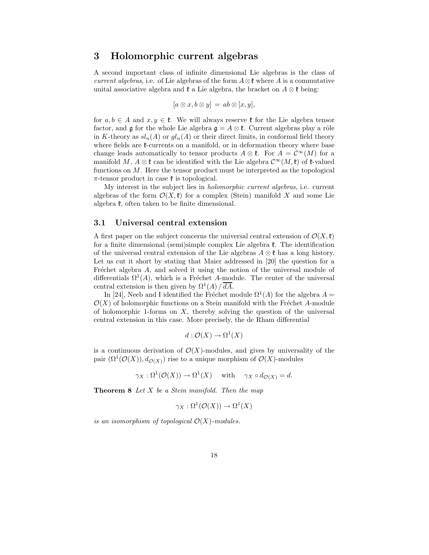## 3 Holomorphic current algebras

A second important class of infinite dimensional Lie algebras is the class of current algebras, i.e. of Lie algebras of the form  $A \otimes \mathfrak{k}$  where A is a commutative unital associative algebra and  $\mathfrak k$  a Lie algebra, the bracket on  $A \otimes \mathfrak k$  being:

$$
[a\otimes x, b\otimes y] = ab\otimes [x, y],
$$

for  $a, b \in A$  and  $x, y \in \mathfrak{k}$ . We will always reserve  $\mathfrak{k}$  for the Lie algebra tensor factor, and g for the whole Lie algebra  $\mathfrak{g} = A \otimes \mathfrak{k}$ . Current algebras play a rôle in K-theory as  $sl_n(A)$  or  $gl_n(A)$  or their direct limits, in conformal field theory where fields are  $\ell$ -currents on a manifold, or in deformation theory where base change leads automatically to tensor products  $A \otimes \mathfrak{k}$ . For  $A = \mathcal{C}^{\infty}(M)$  for a manifold M,  $A \otimes \mathfrak{k}$  can be identified with the Lie algebra  $\mathcal{C}^{\infty}(M,\mathfrak{k})$  of  $\mathfrak{k}$ -valued functions on  $M$ . Here the tensor product must be interpreted as the topological  $\pi$ -tensor product in case  $\mathfrak k$  is topological.

My interest in the subject lies in holomorphic current algebras, i.e. current algebras of the form  $\mathcal{O}(X,\mathfrak{k})$  for a complex (Stein) manifold X and some Lie algebra  $\mathfrak k$ , often taken to be finite dimensional.

#### 3.1 Universal central extension

A first paper on the subject concerns the universal central extension of  $\mathcal{O}(X,\mathfrak{k})$ for a finite dimensional (semi)simple complex Lie algebra  $\mathfrak{k}$ . The identification of the universal central extension of the Lie algebras  $A \otimes \mathfrak{k}$  has a long history. Let us cut it short by stating that Maier addressed in [20] the question for a Fréchet algebra  $A$ , and solved it using the notion of the universal module of differentials  $\Omega^1(A)$ , which is a Fréchet A-module. The center of the universal central extension is then given by  $\Omega^1(A)/\overline{dA}$ .

In [24], Neeb and I identified the Fréchet module  $\Omega^1(A)$  for the algebra  $A =$  $\mathcal{O}(X)$  of holomorphic functions on a Stein manifold with the Fréchet A-module of holomorphic 1-forms on  $X$ , thereby solving the question of the universal central extension in this case. More precisely, the de Rham differential

$$
d: \mathcal{O}(X) \to \Omega^1(X)
$$

is a continuous derivation of  $\mathcal{O}(X)$ -modules, and gives by universality of the pair  $(\Omega^1(\mathcal{O}(X)), d_{\mathcal{O}(X)})$  rise to a unique morphism of  $\mathcal{O}(X)$ -modules

$$
\gamma_X : \Omega^1(\mathcal{O}(X)) \to \Omega^1(X) \quad \text{with} \quad \gamma_X \circ d_{\mathcal{O}(X)} = d.
$$

**Theorem 8** Let  $X$  be a Stein manifold. Then the map

$$
\gamma_X : \Omega^1(\mathcal{O}(X)) \to \Omega^1(X)
$$

is an isomorphism of topological  $\mathcal{O}(X)$ -modules.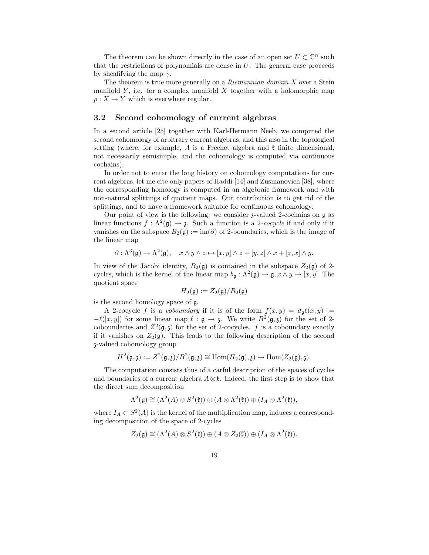The theorem can be shown directly in the case of an open set  $U \subset \mathbb{C}^n$  such that the restrictions of polynomials are dense in  $U$ . The general case proceeds by sheafifying the map  $\gamma$ .

The theorem is true more generally on a *Riemannian domain*  $X$  over a Stein manifold  $Y$ , i.e. for a complex manifold  $X$  together with a holomorphic map  $p: X \to Y$  which is everwhere regular.

#### 3.2 Second cohomology of current algebras

In a second article [25] together with Karl-Hermann Neeb, we computed the second cohomology of arbitrary current algebras, and this also in the topological setting (where, for example, A is a Fréchet algebra and  $\mathfrak k$  finite dimensional, not necessarily semisimple, and the cohomology is computed via continuous cochains).

In order not to enter the long history on cohomology computations for current algebras, let me cite only papers of Haddi [14] and Zusmanovich [38], where the corresponding homology is computed in an algebraic framework and with non-natural splittings of quotient maps. Our contribution is to get rid of the splittings, and to have a framework suitable for continuous cohomology.

Our point of view is the following: we consider  $\chi$ -valued 2-cochains on  $\mathfrak g$  as linear functions  $f : \Lambda^2(\mathfrak{g}) \to \mathfrak{z}$ . Such a function is a 2-cocycle if and only if it vanishes on the subspace  $B_2(\mathfrak{g}) := \text{im}(\partial)$  of 2-boundaries, which is the image of the linear map

$$
\partial: \Lambda^3(\mathfrak{g}) \to \Lambda^2(\mathfrak{g}), \quad x \wedge y \wedge z \mapsto [x, y] \wedge z + [y, z] \wedge x + [z, x] \wedge y.
$$

In view of the Jacobi identity,  $B_2(\mathfrak{g})$  is contained in the subspace  $Z_2(\mathfrak{g})$  of 2cycles, which is the kernel of the linear map  $b_{\mathfrak{g}} : \Lambda^2(\mathfrak{g}) \to \mathfrak{g}, x \wedge y \mapsto [x, y]$ . The quotient space

$$
H_2(\mathfrak{g}) := Z_2(\mathfrak{g})/B_2(\mathfrak{g})
$$

is the second homology space of g.

A 2-cocycle f is a *coboundary* if it is of the form  $f(x, y) = d_q \ell(x, y) :=$  $-\ell([x,y])$  for some linear map  $\ell : \mathfrak{g} \to \mathfrak{z}$ . We write  $B^2(\mathfrak{g},\mathfrak{z})$  for the set of 2coboundaries and  $Z^2(\mathfrak{g},\mathfrak{z})$  for the set of 2-cocycles. f is a coboundary exactly if it vanishes on  $Z_2(\mathfrak{g})$ . This leads to the following description of the second z-valued cohomology group

$$
H^2(\mathfrak{g},\mathfrak{z}):=Z^2(\mathfrak{g},\mathfrak{z})/B^2(\mathfrak{g},\mathfrak{z})\cong \mathrm{Hom}(H_2(\mathfrak{g}),\mathfrak{z})\rightarrow \mathrm{Hom}(Z_2(\mathfrak{g}),\mathfrak{z}).
$$

The computation consists thus of a carful description of the spaces of cycles and boundaries of a current algebra  $A \otimes \mathfrak{k}$ . Indeed, the first step is to show that the direct sum decomposition

$$
\Lambda^2(\mathfrak{g}) \cong (\Lambda^2(A) \otimes S^2(\mathfrak{k})) \oplus (A \otimes \Lambda^2(\mathfrak{k})) \oplus (I_A \otimes \Lambda^2(\mathfrak{k})),
$$

where  $I_A \subset S^2(A)$  is the kernel of the multiplication map, induces a corresponding decomposition of the space of 2-cycles

$$
Z_2(\mathfrak{g}) \cong (\Lambda^2(A) \otimes S^2(\mathfrak{k})) \oplus (A \otimes Z_2(\mathfrak{k})) \oplus (I_A \otimes \Lambda^2(\mathfrak{k})).
$$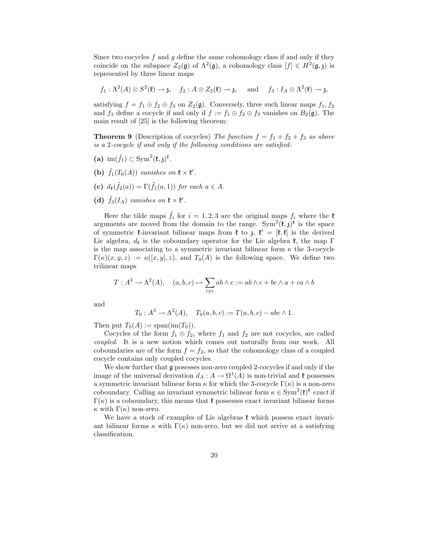Since two cocycles  $f$  and  $g$  define the same cohomology class if and only if they coincide on the subspace  $Z_2(\mathfrak{g})$  of  $\Lambda^2(\mathfrak{g})$ , a cohomology class  $[f] \in H^2(\mathfrak{g},\mathfrak{z})$  is represented by three linear maps

 $f_1: \Lambda^2(A) \otimes S^2(\mathfrak{k}) \to \mathfrak{z}, \quad f_2: A \otimes Z_2(\mathfrak{k}) \to \mathfrak{z}, \quad \text{ and } \quad f_3: I_A \otimes \Lambda^2(\mathfrak{k}) \to \mathfrak{z},$ 

satisfying  $f = f_1 \oplus f_2 \oplus f_3$  on  $Z_2(\mathfrak{g})$ . Conversely, three such linear maps  $f_1, f_2$ and  $f_3$  define a cocycle if and only if  $f := f_1 \oplus f_2 \oplus f_3$  vanishes on  $B_2(\mathfrak{g})$ . The main result of [25] is the following theorem:

**Theorem 9** (Description of cocycles) The function  $f = f_1 + f_2 + f_3$  as above is a 2-cocycle if and only if the following conditions are satisfied:

- (a)  $\operatorname{im}(\tilde{f}_1) \subset \operatorname{Sym}^2(\mathfrak{k},\mathfrak{z})^{\mathfrak{k}}$ .
- (b)  $\tilde{f}_1(T_0(A))$  vanishes on  $\mathfrak{k} \times \mathfrak{k}'$ .
- (c)  $d_{\mathfrak{k}}(\tilde{f}_2(a)) = \Gamma(\tilde{f}_1(a, 1))$  for each  $a \in A$ .
- (d)  $\tilde{f}_3(I_A)$  vanishes on  $\mathfrak{k} \times \mathfrak{k}'$ .

Here the tilde maps  $\tilde{f}_i$  for  $i = 1, 2, 3$  are the original maps  $f_i$  where the  $\mathfrak k$ arguments are moved from the domain to the range.  $\text{Sym}^2(\mathfrak{k},\mathfrak{z})^{\mathfrak{k}}$  is the space of symmetric  $\mathfrak{k}$ -invariant bilinear maps from  $\mathfrak{k}$  to  $\mathfrak{z}$ ,  $\mathfrak{k}' = [\mathfrak{k}, \mathfrak{k}]$  is the derived Lie algebra,  $d_{\mathfrak{k}}$  is the coboundary operator for the Lie algebra  $\mathfrak{k}$ , the map  $\Gamma$ is the map associating to a symmetric invariant bilinear form  $\kappa$  the 3-cocycle  $\Gamma(\kappa)(x, y, z) := \kappa([x, y], z)$ , and  $T_0(A)$  is the following space. We define two trilinear maps

$$
T: A^3 \to \Lambda^2(A), \quad (a, b, c) \mapsto \sum_{\text{cyc}} ab \wedge c := ab \wedge c + bc \wedge a + ca \wedge b
$$

and

$$
T_0: A^3 \to \Lambda^2(A), \quad T_0(a, b, c) := T(a, b, c) - abc \wedge 1.
$$

Then put  $T_0(A) := \text{span}(\text{im}(T_0)).$ 

Cocycles of the form 
$$
f_1 \oplus f_2
$$
, where  $f_1$  and  $f_2$  are not cocycles, are called *coupled*. It is a new notion which comes out naturally from our work. All coboundaries are of the form  $f = f_2$ , so that the cohomology class of a coupled cocycle contains only coupled cocycles.

We show further that g posesses non-zero coupled 2-cocycles if and only if the image of the universal derivation  $d_A: A \to \Omega^1(A)$  is non-trivial and  $\mathfrak k$  possesses a symmetric invariant bilinear form  $\kappa$  for which the 3-cocycle  $\Gamma(\kappa)$  is a non-zero coboundary. Calling an invariant symmetric bilinear form  $\kappa \in \text{Sym}^2(\mathfrak{k})^{\mathfrak{k}}$  exact if  $\Gamma(\kappa)$  is a coboundary, this means that  $\mathfrak k$  possesses exact invariant bilinear forms  $κ$  with Γ(κ) non-zero.

We have a stock of examples of Lie algebras  $\mathfrak k$  which possess exact invariant bilinear forms  $\kappa$  with  $\Gamma(\kappa)$  non-zero, but we did not arrive at a satisfying classification.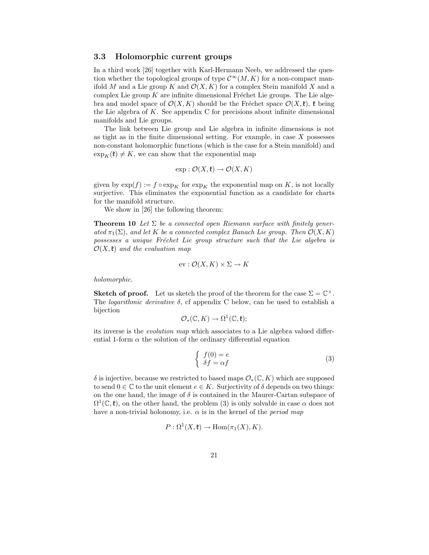#### 3.3 Holomorphic current groups

In a third work [26] together with Karl-Hermann Neeb, we addressed the question whether the topological groups of type  $\mathcal{C}^{\infty}(M, K)$  for a non-compact manifold M and a Lie group K and  $\mathcal{O}(X, K)$  for a complex Stein manifold X and a complex Lie group  $K$  are infinite dimensional Fréchet Lie groups. The Lie algebra and model space of  $\mathcal{O}(X, K)$  should be the Fréchet space  $\mathcal{O}(X, \mathfrak{k})$ ,  $\mathfrak{k}$  being the Lie algebra of  $K$ . See appendix  $C$  for precisions about infinite dimensional manifolds and Lie groups.

The link between Lie group and Lie algebra in infinite dimensions is not as tight as in the finite dimensional setting. For example, in case  $X$  possesses non-constant holomorphic functions (which is the case for a Stein manifold) and  $\exp_K(\mathfrak{k}) \neq K$ , we can show that the exponential map

$$
\exp: \mathcal{O}(X, \mathfrak{k}) \to \mathcal{O}(X, K)
$$

given by  $\exp(f) := f \circ \exp_K$  for  $\exp_K$  the exponential map on K, is not locally surjective. This eliminates the exponential function as a candidate for charts for the manifold structure.

We show in [26] the following theorem:

**Theorem 10** Let  $\Sigma$  be a connected open Riemann surface with finitely generated  $\pi_1(\Sigma)$ , and let K be a connected complex Banach Lie group. Then  $\mathcal{O}(X, K)$ possesses a unique Fréchet Lie group structure such that the Lie algebra is  $\mathcal{O}(X,\mathfrak{k})$  and the evaluation map

$$
ev: \mathcal{O}(X, K) \times \Sigma \to K
$$

holomorphic.

**Sketch of proof.** Let us sketch the proof of the theorem for the case  $\Sigma = \mathbb{C}^{\times}$ . The *logarithmic derivative*  $\delta$ , cf appendix C below, can be used to establish a bijection

$$
\mathcal{O}_{*}(\mathbb{C},K) \to \Omega^{1}(\mathbb{C},\mathfrak{k});
$$

its inverse is the evolution map which associates to a Lie algebra valued differential 1-form  $\alpha$  the solution of the ordinary differential equation

$$
\begin{cases}\nf(0) = e \\
\delta f = \alpha f\n\end{cases}
$$
\n(3)

 $\delta$  is injective, because we restricted to based maps  $\mathcal{O}_*(\mathbb{C}, K)$  which are supposed to send  $0 \in \mathbb{C}$  to the unit element  $e \in K$ . Surjectivity of  $\delta$  depends on two things: on the one hand, the image of  $\delta$  is contained in the Maurer-Cartan subspace of  $\Omega^1(\mathbb{C}, \mathfrak{k})$ , on the other hand, the problem (3) is only solvable in case  $\alpha$  does not have a non-trivial holonomy, i.e.  $\alpha$  is in the kernel of the *period* map

$$
P: \Omega^1(X, \mathfrak{k}) \to \text{Hom}(\pi_1(X), K).
$$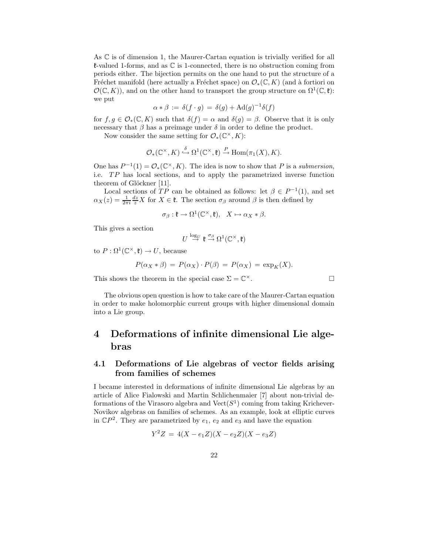As  $\mathbb C$  is of dimension 1, the Maurer-Cartan equation is trivially verified for all  $\ell$ -valued 1-forms, and as  $\mathbb C$  is 1-connected, there is no obstruction coming from periods either. The bijection permits on the one hand to put the structure of a Fréchet manifold (here actually a Fréchet space) on  $\mathcal{O}_*(\mathbb{C}, K)$  (and à fortiori on  $\mathcal{O}(\mathbb{C}, K)$ , and on the other hand to transport the group structure on  $\Omega^1(\mathbb{C}, \mathfrak{k})$ : we put

$$
\alpha * \beta := \delta(f \cdot g) = \delta(g) + \text{Ad}(g)^{-1}\delta(f)
$$

for  $f, g \in \mathcal{O}_*(\mathbb{C}, K)$  such that  $\delta(f) = \alpha$  and  $\delta(g) = \beta$ . Observe that it is only necessary that  $\beta$  has a preimage under  $\delta$  in order to define the product.

Now consider the same setting for  $\mathcal{O}_*(\mathbb{C}^\times, K)$ :

$$
\mathcal{O}_{*}(\mathbb{C}^{\times}, K) \stackrel{\delta}{\hookrightarrow} \Omega^{1}(\mathbb{C}^{\times}, \mathfrak{k}) \stackrel{P}{\to} \text{Hom}(\pi_{1}(X), K).
$$

One has  $P^{-1}(1) = \mathcal{O}_*(\mathbb{C}^\times, K)$ . The idea is now to show that P is a submersion, i.e. TP has local sections, and to apply the parametrized inverse function theorem of Glöckner [11].

Local sections of  $TP$  can be obtained as follows: let  $\beta \in P^{-1}(1)$ , and set  $\alpha_X(z) = \frac{1}{2\pi i} \frac{dz}{z} X$  for  $X \in \mathfrak{k}$ . The section  $\sigma_\beta$  around  $\beta$  is then defined by

$$
\sigma_{\beta} : \mathfrak{k} \to \Omega^1(\mathbb{C}^\times, \mathfrak{k}), \quad X \mapsto \alpha_X * \beta.
$$

This gives a section

$$
U \stackrel{\log_U}{\to} \mathfrak{k} \stackrel{\sigma_\beta}{\to} \Omega^1(\mathbb{C}^\times, \mathfrak{k})
$$

to  $P: \Omega^1(\mathbb{C}^\times, \mathfrak{k}) \to U$ , because

$$
P(\alpha_X * \beta) = P(\alpha_X) \cdot P(\beta) = P(\alpha_X) = \exp_K(X).
$$

This shows the theorem in the special case  $\Sigma = \mathbb{C}^{\times}$ .  $\times$ .

The obvious open question is how to take care of the Maurer-Cartan equation in order to make holomorphic current groups with higher dimensional domain into a Lie group.

## 4 Deformations of infinite dimensional Lie algebras

## 4.1 Deformations of Lie algebras of vector fields arising from families of schemes

I became interested in deformations of infinite dimensional Lie algebras by an article of Alice Fialowski and Martin Schlichenmaier [7] about non-trivial deformations of the Virasoro algebra and  $Vect(S^1)$  coming from taking Krichever-Novikov algebras on families of schemes. As an example, look at elliptic curves in  $\mathbb{C}P^2$ . They are parametrized by  $e_1, e_2$  and  $e_3$  and have the equation

$$
Y^2Z = 4(X - e_1Z)(X - e_2Z)(X - e_3Z)
$$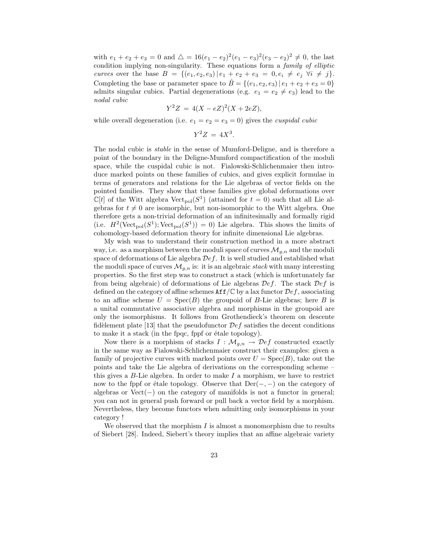with  $e_1 + e_2 + e_3 = 0$  and  $\Delta = 16(e_1 - e_2)^2(e_1 - e_3)^2(e_3 - e_2)^2 \neq 0$ , the last condition implying non-singularity. These equations form a family of elliptic curves over the base  $B = \{(e_1, e_2, e_3) | e_1 + e_2 + e_3 = 0, e_i \neq e_j \ \forall i \neq j\}.$ Completing the base or parameter space to  $\hat{B} = \{(e_1, e_2, e_3) | e_1 + e_2 + e_3 = 0\}$ admits singular cubics. Partial degenerations (e.g.  $e_1 = e_2 \neq e_3$ ) lead to the nodal cubic

$$
Y^2 Z = 4(X - eZ)^2(X + 2eZ),
$$

while overall degeneration (i.e.  $e_1 = e_2 = e_3 = 0$ ) gives the *cuspidal cubic* 

$$
Y^2Z = 4X^3.
$$

The nodal cubic is stable in the sense of Mumford-Deligne, and is therefore a point of the boundary in the Deligne-Mumford compactification of the moduli space, while the cuspidal cubic is not. Fialowski-Schlichenmaier then introduce marked points on these families of cubics, and gives explicit formulae in terms of generators and relations for the Lie algebras of vector fields on the pointed families. They show that these families give global deformations over  $\mathbb{C}[t]$  of the Witt algebra  $\text{Vect}_{pol}(S^1)$  (attained for  $t=0$ ) such that all Lie algebras for  $t \neq 0$  are isomorphic, but non-isomorphic to the Witt algebra. One therefore gets a non-trivial deformation of an infinitesimally and formally rigid (i.e.  $H^2(\text{Vect}_{pol}(S^1); \text{Vect}_{pol}(S^1)) = 0)$  Lie algebra. This shows the limits of cohomology-based deformation theory for infinite dimensional Lie algebras.

My wish was to understand their construction method in a more abstract way, i.e. as a morphism between the moduli space of curves  $\mathcal{M}_{g,n}$  and the moduli space of deformations of Lie algebra  $\mathcal{D}ef$ . It is well studied and established what the moduli space of curves  $\mathcal{M}_{g,n}$  is: it is an algebraic stack with many interesting properties. So the first step was to construct a stack (which is unfortunately far from being algebraic) of deformations of Lie algebras  $\mathcal{D}ef$ . The stack  $\mathcal{D}ef$  is defined on the category of affine schemes  $\texttt{Aff}/\mathbb{C}$  by a lax functor  $\mathcal{D}ef$ , associating to an affine scheme  $U = \text{Spec}(B)$  the groupoid of B-Lie algebras; here B is a unital commutative associative algebra and morphisms in the groupoid are only the isomorphisms. It follows from Grothendieck's theorem on descente fidelement plate [13] that the pseudofunctor  $\mathcal{D}ef$  satisfies the decent conditions to make it a stack (in the fpqc, fppf or étale topology).

Now there is a morphism of stacks  $I : \mathcal{M}_{g,n} \to \mathcal{D}ef$  constructed exactly in the same way as Fialowski-Schlichenmaier construct their examples: given a family of projective curves with marked points over  $U = \text{Spec}(B)$ , take out the points and take the Lie algebra of derivations on the corresponding scheme – this gives a  $B$ -Lie algebra. In order to make  $I$  a morphism, we have to restrict now to the fppf or étale topology. Observe that  $Der(-, -)$  on the category of algebras or Vect(−) on the category of manifolds is not a functor in general; you can not in general push forward or pull back a vector field by a morphism. Nevertheless, they become functors when admitting only isomorphisms in your category !

We observed that the morphism  $I$  is almost a monomorphism due to results of Siebert [28]. Indeed, Siebert's theory implies that an affine algebraic variety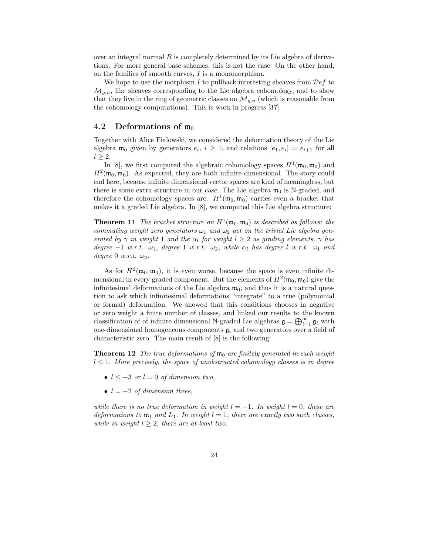over an integral normal  $B$  is completely determined by its Lie algebra of derivations. For more general base schemes, this is not the case. On the other hand, on the families of smooth curves, I is a monomorphism.

We hope to use the morphism I to pullback interesting sheaves from  $\mathcal{D}ef$  to  $\mathcal{M}_{g,n}$ , like sheaves corresponding to the Lie algebra cohomology, and to show that they live in the ring of geometric classes on  $\mathcal{M}_{g,n}$  (which is reasonable from the cohomology computations). This is work in progress [37].

### 4.2 Deformations of  $m_0$

Together with Alice Fialowski, we considered the deformation theory of the Lie algebra  $\mathfrak{m}_0$  given by generators  $e_i$ ,  $i \geq 1$ , and relations  $[e_1, e_i] = e_{i+1}$  for all  $i > 2$ .

In [8], we first computed the algebraic cohomology spaces  $H^1(\mathfrak{m}_0, \mathfrak{m}_0)$  and  $H^2(\mathfrak{m}_0, \mathfrak{m}_0)$ . As expected, they are both infinite dimensional. The story could end here, because infinite dimensional vector spaces are kind of meaningless, but there is some extra structure in our case. The Lie algebra  $\mathfrak{m}_0$  is N-graded, and therefore the cohomology spaces are.  $H^1(\mathfrak{m}_0, \mathfrak{m}_0)$  carries even a bracket that makes it a graded Lie algebra. In [8], we computed this Lie algebra structure:

**Theorem 11** The bracket structure on  $H^1(\mathfrak{m}_0, \mathfrak{m}_0)$  is described as follows: the commuting weight zero generators  $\omega_1$  and  $\omega_2$  act on the trivial Lie algebra generated by  $\gamma$  in weight 1 and the  $\alpha_l$  for weight  $l \geq 2$  as grading elements,  $\gamma$  has degree  $-1$  w.r.t.  $\omega_1$ , degree 1 w.r.t.  $\omega_2$ , while  $\alpha_l$  has degree l w.r.t.  $\omega_1$  and degree 0 w.r.t.  $\omega_2$ .

As for  $H^2(\mathfrak{m}_0, \mathfrak{m}_0)$ , it is even worse, because the space is even infinite dimensional in every graded component. But the elements of  $H^2(\mathfrak{m}_0, \mathfrak{m}_0)$  give the infinitesimal deformations of the Lie algebra  $m_0$ , and thus it is a natural question to ask which infinitesimal deformations "integrate" to a true (polynomial or formal) deformation. We showed that this conditions chooses in negative or zero weight a finite number of classes, and linked our results to the known classification of of infinite dimensional N-graded Lie algebras  $\mathfrak{g} = \bigoplus_{i=1}^{\infty} \mathfrak{g}_i$  with one-dimensional homogeneous components  $\mathfrak{g}_i$  and two generators over a field of characteristic zero. The main result of [8] is the following:

**Theorem 12** The true deformations of  $\mathfrak{m}_0$  are finitely generated in each weight  $l \leq 1$ . More precisely, the space of unobstructed cohomology classes is in degree

- $l \leq -3$  or  $l = 0$  of dimension two,
- $l = -2$  of dimension three,

while there is no true deformation in weight  $l = -1$ . In weight  $l = 0$ , these are deformations to  $\mathfrak{m}_1$  and  $L_1$ . In weight  $l = 1$ , there are exactly two such classes, while in weight  $l \geq 2$ , there are at least two.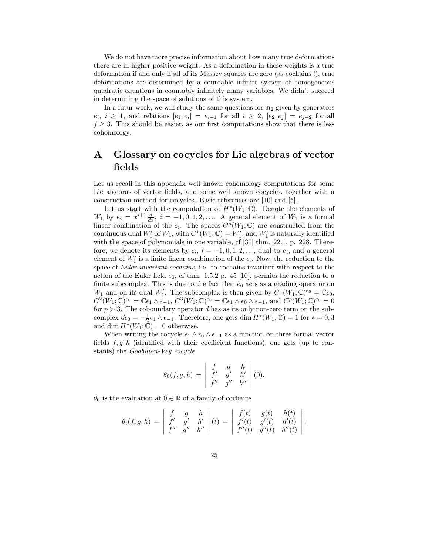We do not have more precise information about how many true deformations there are in higher positive weight. As a deformation in these weights is a true deformation if and only if all of its Massey squares are zero (as cochains !), true deformations are determined by a countable infinite system of homogeneous quadratic equations in countably infinitely many variables. We didn't succeed in determining the space of solutions of this system.

In a futur work, we will study the same questions for  $m_2$  given by generators  $e_i, i \geq 1$ , and relations  $[e_1, e_i] = e_{i+1}$  for all  $i \geq 2$ ,  $[e_2, e_j] = e_{j+2}$  for all  $j \geq 3$ . This should be easier, as our first computations show that there is less cohomology.

# A Glossary on cocycles for Lie algebras of vector fields

Let us recall in this appendix well known cohomology computations for some Lie algebras of vector fields, and some well known cocycles, together with a construction method for cocycles. Basic references are [10] and [5].

Let us start with the computation of  $H^*(W_1;\mathbb{C})$ . Denote the elements of  $W_1$  by  $e_i = x^{i+1} \frac{d}{dx}$ ,  $i = -1, 0, 1, 2, \ldots$ . A general element of  $W_1$  is a formal linear combination of the  $e_i$ . The spaces  $C^p(W_1;\mathbb{C})$  are constructed from the continuous dual  $W'_1$  of  $W_1$ , with  $C^1(W_1;\mathbb{C}) = W'_1$ , and  $W'_1$  is naturally identified with the space of polynomials in one variable, cf [30] thm. 22.1, p. 228. Therefore, we denote its elements by  $\epsilon_i$ ,  $i = -1, 0, 1, 2, \ldots$ , dual to  $e_i$ , and a general element of  $W'_1$  is a finite linear combination of the  $\epsilon_i$ . Now, the reduction to the space of *Euler-invariant cochains*, i.e. to cochains invariant with respect to the action of the Euler field  $e_0$ , cf thm. 1.5.2 p. 45 [10], permits the reduction to a finite subcomplex. This is due to the fact that  $e_0$  acts as a grading operator on  $W_1$  and on its dual  $W'_1$ . The subcomplex is then given by  $C^1(W_1; \mathbb{C})^{e_0} = \mathbb{C}\epsilon_0$ ,  $C^2(W_1;\mathbb{C})^{e_0} = \mathbb{C}\epsilon_1 \wedge \epsilon_{-1}, C^3(W_1;\mathbb{C})^{e_0} = \mathbb{C}\epsilon_1 \wedge \epsilon_0 \wedge \epsilon_{-1}, \text{ and } C^p(W_1;\mathbb{C})^{e_0} = 0$ for  $p > 3$ . The coboundary operator d has as its only non-zero term on the subcomplex  $d\epsilon_0 = -\frac{1}{2}\epsilon_1 \wedge \epsilon_{-1}$ . Therefore, one gets  $\dim H^*(W_1; \mathbb{C}) = 1$  for  $* = 0, 3$ and dim  $H^*(W_1; \tilde{\mathbb{C}}) = 0$  otherwise.

When writing the cocycle  $\epsilon_1 \wedge \epsilon_0 \wedge \epsilon_{-1}$  as a function on three formal vector fields  $f, g, h$  (identified with their coefficient functions), one gets (up to constants) the Godbillon-Vey cocycle

$$
\theta_0(f,g,h) = \begin{vmatrix} f & g & h \\ f' & g' & h' \\ f'' & g'' & h'' \end{vmatrix} (0).
$$

 $\theta_0$  is the evaluation at  $0 \in \mathbb{R}$  of a family of cochains

$$
\theta_t(f,g,h) = \begin{vmatrix} f & g & h \\ f' & g' & h' \\ f'' & g'' & h'' \end{vmatrix} (t) = \begin{vmatrix} f(t) & g(t) & h(t) \\ f'(t) & g'(t) & h'(t) \\ f''(t) & g''(t) & h''(t) \end{vmatrix}.
$$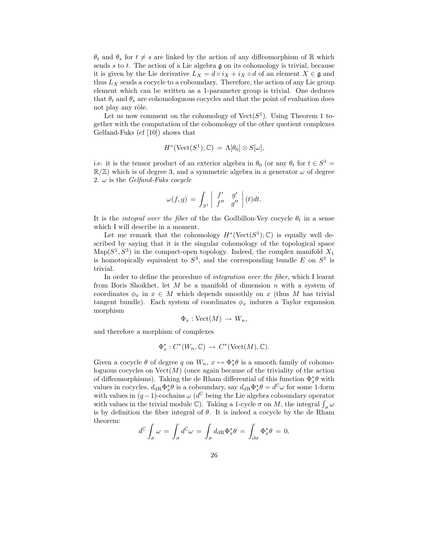$\theta_t$  and  $\theta_s$  for  $t \neq s$  are linked by the action of any diffeomorphism of R which sends s to t. The action of a Lie algebra  $\mathfrak g$  on its cohomology is trivial, because it is given by the Lie derivative  $L_X = d \circ i_X + i_X \circ d$  of an element  $X \in \mathfrak{g}$  and thus  $L_X$  sends a cocycle to a coboundary. Therefore, the action of any Lie group element which can be written as a 1-parameter group is trivial. One deduces that  $\theta_t$  and  $\theta_s$  are cohomologuous cocycles and that the point of evaluation does not play any rôle.

Let us now comment on the cohomology of  $Vect(S^1)$ . Using Theorem 1 together with the computation of the cohomology of the other quotient complexes Gelfand-Fuks (cf [10]) shows that

$$
H^*(\mathrm{Vect}(S^1); \mathbb{C}) = \Lambda[\theta_0] \otimes S[\omega],
$$

i.e. it is the tensor product of an exterior algebra in  $\theta_0$  (or any  $\theta_t$  for  $t \in S^1$  =  $\mathbb{R}/\mathbb{Z}$ ) which is of degree 3, and a symmetric algebra in a generator  $\omega$  of degree 2.  $\omega$  is the Gelfand-Fuks cocycle

$$
\omega(f,g) = \int_{S^1} \left| \begin{array}{cc} f' & g' \\ f'' & g'' \end{array} \right|(t)dt.
$$

It is the *integral over the fiber* of the the Godbillon-Vey cocycle  $\theta_t$  in a sense which I will describe in a moment.

Let me remark that the cohomology  $H^*(Vect(S^1);\mathbb{C})$  is equally well described by saying that it is the singular cohomology of the topological space  $\text{Map}(S^1, S^3)$  in the compact-open topology. Indeed, the complex manifold  $X_1$ is homotopically equivalent to  $S^3$ , and the corresponding bundle E on  $S^1$  is trivial.

In order to define the procedure of integration over the fiber, which I learnt from Boris Shoikhet, let  $M$  be a manifold of dimension  $n$  with a system of coordinates  $\phi_x$  in  $x \in M$  which depends smoothly on x (thus M has trivial tangent bundle). Each system of coordinates  $\phi_x$  induces a Taylor expansion morphism

$$
\Phi_x : \text{Vect}(M) \to W_n,
$$

and therefore a morphism of complexes

$$
\Phi_x^*: C^*(W_n, \mathbb{C}) \to C^*(\text{Vect}(M), \mathbb{C}).
$$

Given a cocycle  $\theta$  of degree q on  $W_n$ ,  $x \mapsto \Phi_x^* \theta$  is a smooth family of cohomologuous cocycles on  $Vect(M)$  (once again because of the triviality of the action of diffeomorphisms). Taking the de Rham differential of this function  $\Phi_x^* \theta$  with values in cocycles,  $d_{\text{dR}}\Phi_x^*\theta$  is a coboundary, say  $d_{\text{dR}}\Phi_x^*\theta = d^{\mathbb{C}}\omega$  for some 1-form with values in  $(q-1)$ -cochains  $\omega$  ( $d^{\mathbb{C}}$  being the Lie algebra coboundary operator with values in the trivial module  $\mathbb{C}$ ). Taking a 1-cycle  $\sigma$  on M, the integral  $\int_{\sigma} \omega$ is by definition the fiber integral of  $\theta$ . It is indeed a cocycle by the de Rham theorem:

$$
d^{\mathbb{C}} \int_{\sigma} \omega = \int_{\sigma} d^{\mathbb{C}} \omega = \int_{\sigma} d_{\mathrm{dR}} \Phi_x^* \theta = \int_{\partial \sigma} \Phi_x^* \theta = 0.
$$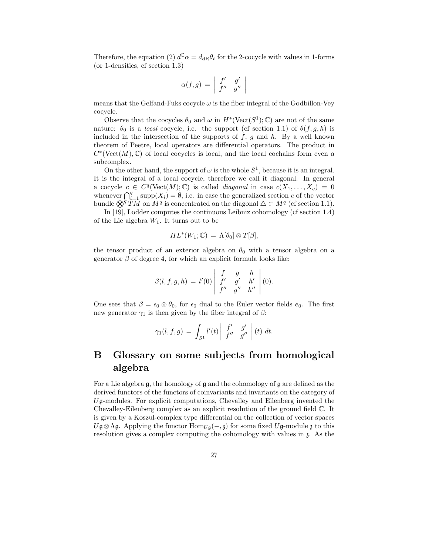Therefore, the equation (2)  $d^{\mathbb{C}}\alpha = d_{\text{dR}}\theta_t$  for the 2-cocycle with values in 1-forms (or 1-densities, cf section 1.3)

$$
\alpha(f,g) \,=\, \left|\begin{array}{cc} f' & g' \\ f'' & g'' \end{array} \right|
$$

means that the Gelfand-Fuks cocycle  $\omega$  is the fiber integral of the Godbillon-Vey cocycle.

Observe that the cocycles  $\theta_0$  and  $\omega$  in  $H^*(\text{Vect}(S^1); \mathbb{C})$  are not of the same nature:  $\theta_0$  is a *local* cocycle, i.e. the support (cf section 1.1) of  $\theta(f, g, h)$  is included in the intersection of the supports of  $f, g$  and  $h$ . By a well known theorem of Peetre, local operators are differential operators. The product in  $C^*(\text{Vect}(M), \mathbb{C})$  of local cocycles is local, and the local cochains form even a subcomplex.

On the other hand, the support of  $\omega$  is the whole  $S^1$ , because it is an integral. It is the integral of a local cocycle, therefore we call it diagonal. In general a cocycle  $c \in C^q(\text{Vect}(M); \mathbb{C})$  is called *diagonal* in case  $c(X_1, \ldots, X_q) = 0$ whenever  $\bigcap_{i=1}^q \text{supp}(X_i) = \emptyset$ , i.e. in case the generalized section c of the vector bundle  $\bigotimes^q TM$  on  $M^q$  is concentrated on the diagonal  $\triangle \subset M^q$  (cf section 1.1).

In [19], Lodder computes the continuous Leibniz cohomology (cf section 1.4) of the Lie algebra  $W_1$ . It turns out to be

$$
HL^*(W_1; \mathbb{C}) = \Lambda[\theta_0] \otimes T[\beta],
$$

the tensor product of an exterior algebra on  $\theta_0$  with a tensor algebra on a generator  $\beta$  of degree 4, for which an explicit formula looks like:

$$
\beta(l, f, g, h) = l'(0) \begin{vmatrix} f & g & h \\ f' & g' & h' \\ f'' & g'' & h'' \end{vmatrix} (0).
$$

One sees that  $\beta = \epsilon_0 \otimes \theta_0$ , for  $\epsilon_0$  dual to the Euler vector fields  $e_0$ . The first new generator  $\gamma_1$  is then given by the fiber integral of  $\beta$ :

$$
\gamma_1(l, f, g) = \int_{S^1} l'(t) \begin{vmatrix} f' & g' \\ f'' & g'' \end{vmatrix} (t) dt.
$$

# B Glossary on some subjects from homological algebra

For a Lie algebra  $\mathfrak{g}$ , the homology of  $\mathfrak{g}$  and the cohomology of  $\mathfrak{g}$  are defined as the derived functors of the functors of coinvariants and invariants on the category of Ug-modules. For explicit computations, Chevalley and Eilenberg invented the Chevalley-Eilenberg complex as an explicit resolution of the ground field C. It is given by a Koszul-complex type differential on the collection of vector spaces  $U\mathfrak{g}\otimes\Lambda\mathfrak{g}$ . Applying the functor  $\text{Hom}_{U\mathfrak{g}}(-, \mathfrak{z})$  for some fixed  $U\mathfrak{g}\text{-module } \mathfrak{z}$  to this resolution gives a complex computing the cohomology with values in z. As the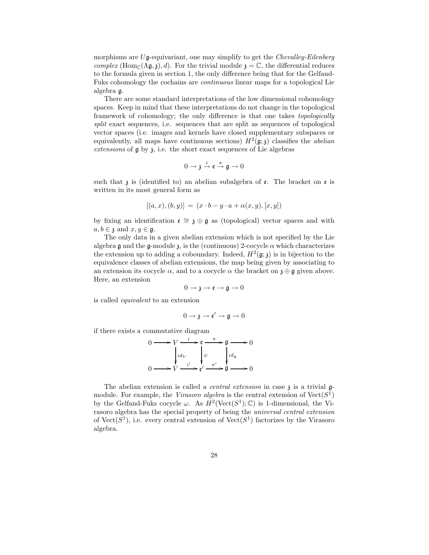morphisms are  $U\mathfrak{g}$ -equivariant, one may simplify to get the *Chevalley-Eilenberg* complex (Hom<sub>C</sub>( $\Lambda$ g, 3), d). For the trivial module  $\mathfrak{z} = \mathbb{C}$ , the differential reduces to the formula given in section 1, the only difference being that for the Gelfand-Fuks cohomology the cochains are continuous linear maps for a topological Lie algebra g.

There are some standard interpretations of the low dimensional cohomology spaces. Keep in mind that these interpretations do not change in the topological framework of cohomology; the only difference is that one takes topologically split exact sequences, i.e. sequences that are split as sequences of topological vector spaces (i.e. images and kernels have closed supplementary subspaces or equivalently, all maps have continuous sections)  $H^2(\mathfrak{g};\mathfrak{z})$  classifies the *abelian* extensions of  $\mathfrak g$  by  $\mathfrak z$ , i.e. the short exact sequences of Lie algebras

$$
0\longrightarrow \mathfrak{z}\stackrel{i}{\longrightarrow} \mathfrak{e}\stackrel{\pi}{\longrightarrow} \mathfrak{g}\longrightarrow 0
$$

such that  $\lambda$  is (identified to) an abelian subalgebra of  $\epsilon$ . The bracket on  $\epsilon$  is written in its most general form as

$$
[(a, x), (b, y)] = (x \cdot b - y \cdot a + \alpha(x, y), [x, y])
$$

by fixing an identification  $\mathfrak{e} \cong \mathfrak{z} \oplus \mathfrak{g}$  as (topological) vector spaces and with  $a, b \in \mathfrak{z}$  and  $x, y \in \mathfrak{g}$ .

The only data in a given abelian extension which is not specified by the Lie algebra  $\mathfrak g$  and the  $\mathfrak g$ -module  $\mathfrak z$ , is the (continuous) 2-cocycle  $\alpha$  which characterizes the extension up to adding a coboundary. Indeed,  $H^2(\mathfrak{g};\mathfrak{z})$  is in bijection to the equivalence classes of abelian extensions, the map being given by associating to an extension its cocycle  $\alpha$ , and to a cocycle  $\alpha$  the bracket on  $\mathfrak{z} \oplus \mathfrak{g}$  given above. Here, an extension

$$
0\to \mathfrak{z}\to \mathfrak{e}\to \mathfrak{g}\to 0
$$

is called equivalent to an extension

$$
0 \to \mathfrak{z} \to \mathfrak{e}' \to \mathfrak{g} \to 0
$$

if there exists a commutative diagram

$$
0 \longrightarrow V \xrightarrow{i} \mathfrak{e} \xrightarrow{\pi} \mathfrak{g} \longrightarrow 0
$$

$$
\downarrow id_V \qquad \downarrow \psi \qquad \downarrow id_\mathfrak{g}
$$

$$
0 \longrightarrow V \xrightarrow{i'} \mathfrak{e}' \xrightarrow{\pi'} \mathfrak{g} \longrightarrow 0
$$

The abelian extension is called a *central extension* in case  $\chi$  is a trivial  $\mathfrak{g}$ module. For example, the Virasoro algebra is the central extension of  $Vect(S^1)$ by the Gelfand-Fuks cocycle  $\omega$ . As  $H^2(\text{Vect}(S^1); \mathbb{C})$  is 1-dimensional, the Virasoro algebra has the special property of being the universal central extension of  $Vect(S^1)$ , i.e. every central extension of  $Vect(S^1)$  factorizes by the Virasoro algebra.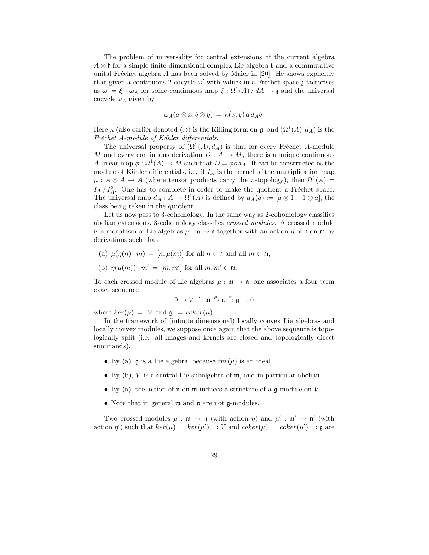The problem of universality for central extensions of the current algebra  $A \otimes \mathfrak{k}$  for a simple finite dimensional complex Lie algebra  $\mathfrak{k}$  and a commutative unital Fréchet algebra A has been solved by Maier in  $[20]$ . He shows explicitly that given a continuous 2-cocycle  $\omega'$  with values in a Fréchet space z factorises as  $\omega' = \xi \circ \omega_A$  for some continuous map  $\xi : \Omega^1(A) / \overline{dA} \to \mathfrak{z}$  and the universal cocycle  $\omega_A$  given by

$$
\omega_A(a\otimes x,b\otimes y)\,=\,\kappa(x,y)\,a\,d_Ab.
$$

Here  $\kappa$  (also earlier denoted  $\langle,\rangle$ ) is the Killing form on  $\mathfrak{g}$ , and  $(\Omega^1(A), d_A)$  is the Fréchet A-module of Kähler differentials.

The universal property of  $(\Omega^1(A), d_A)$  is that for every Fréchet A-module M and every continuous derivation  $D: A \to M$ , there is a unique continuous A-linear map  $\phi : \Omega^1(A) \to M$  such that  $D = \phi \circ d_A$ . It can be constructed as the module of Kähler differentials, i.e. if  $I_A$  is the kernel of the multiplication map  $\mu : A \otimes A \to A$  (where tensor products carry the  $\pi$ -topology), then  $\Omega^1(A) =$  $I_A / I_A^2$ . One has to complete in order to make the quotient a Fréchet space. The universal map  $d_A: A \to \Omega^1(A)$  is defined by  $d_A(a) := [a \otimes 1 - 1 \otimes a]$ , the class being taken in the quotient.

Let us now pass to 3-cohomology. In the same way as 2-cohomology classifies abelian extensions, 3-cohomology classifies crossed modules. A crossed module is a morphism of Lie algebras  $\mu : \mathfrak{m} \to \mathfrak{n}$  together with an action  $\eta$  of  $\mathfrak{n}$  on  $\mathfrak{m}$  by derivations such that

- (a)  $\mu(\eta(n) \cdot m) = [n, \mu(m)]$  for all  $n \in \mathfrak{n}$  and all  $m \in \mathfrak{m}$ ,
- (b)  $\eta(\mu(m)) \cdot m' = [m, m']$  for all  $m, m' \in \mathfrak{m}$ .

To each crossed module of Lie algebras  $\mu : \mathfrak{m} \to \mathfrak{n}$ , one associates a four term exact sequence

$$
0\to V\stackrel{i}{\to}{\mathfrak m}\stackrel{\mu}{\to} {\mathfrak n}\stackrel{\pi}{\to}{\mathfrak g}\to 0
$$

where  $ker(\mu) =: V$  and  $\mathfrak{g} := coker(\mu)$ .

In the framework of (infinite dimensional) locally convex Lie algebras and locally convex modules, we suppose once again that the above sequence is topologically split (i.e. all images and kernels are closed and topologically direct summands).

- By (a),  $\mathfrak g$  is a Lie algebra, because  $im(\mu)$  is an ideal.
- By  $(b)$ , V is a central Lie subalgebra of  $m$ , and in particular abelian.
- By (a), the action of  $\mathfrak n$  on  $\mathfrak m$  induces a structure of a  $\mathfrak g$ -module on  $V$ .
- Note that in general  $m$  and  $n$  are not  $\mathfrak{g}\text{-modules.}$

Two crossed modules  $\mu : \mathfrak{m} \to \mathfrak{n}$  (with action  $\eta$ ) and  $\mu' : \mathfrak{m}' \to \mathfrak{n}'$  (with action  $\eta'$ ) such that  $ker(\mu) = ker(\mu') =: V$  and  $coker(\mu) = coker(\mu') =: \mathfrak{g}$  are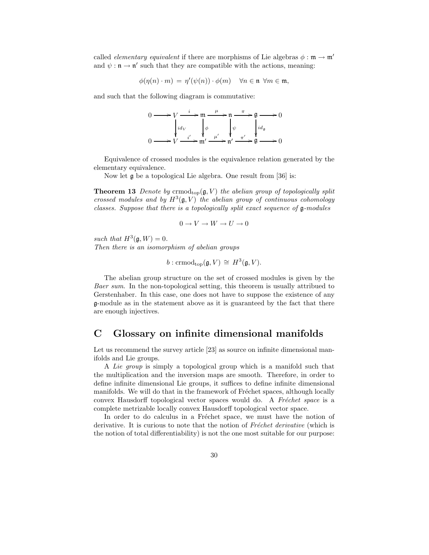called *elementary equivalent* if there are morphisms of Lie algebras  $\phi : \mathfrak{m} \to \mathfrak{m}'$ and  $\psi : \mathfrak{n} \to \mathfrak{n}'$  such that they are compatible with the actions, meaning:

$$
\phi(\eta(n) \cdot m) = \eta'(\psi(n)) \cdot \phi(m) \quad \forall n \in \mathfrak{n} \ \forall m \in \mathfrak{m},
$$

and such that the following diagram is commutative:

$$
0 \longrightarrow V \xrightarrow{i} m \xrightarrow{\mu} n \xrightarrow{\pi} \mathfrak{g} \longrightarrow 0
$$
  
\n
$$
\downarrow id_V
$$
\n
$$
0 \longrightarrow V \xrightarrow{i'} m' \xrightarrow{\mu'} n' \xrightarrow{\pi'} \mathfrak{g} \longrightarrow 0
$$

Equivalence of crossed modules is the equivalence relation generated by the elementary equivalence.

Now let g be a topological Lie algebra. One result from [36] is:

**Theorem 13** Denote by crmod<sub>top</sub> $(g, V)$  the abelian group of topologically split crossed modules and by  $H^3(\mathfrak{g}, V)$  the abelian group of continuous cohomology classes. Suppose that there is a topologically split exact sequence of g-modules

$$
0 \to V \to W \to U \to 0
$$

such that  $H^3(\mathfrak{g}, W) = 0$ .

Then there is an isomorphism of abelian groups

 $b: \mathrm{crmod}_{\mathrm{top}}(\mathfrak{g}, V) \cong H^3(\mathfrak{g}, V).$ 

The abelian group structure on the set of crossed modules is given by the Baer sum. In the non-topological setting, this theorem is usually attribued to Gerstenhaber. In this case, one does not have to suppose the existence of any g-module as in the statement above as it is guaranteed by the fact that there are enough injectives.

## C Glossary on infinite dimensional manifolds

Let us recommend the survey article [23] as source on infinite dimensional manifolds and Lie groups.

A Lie group is simply a topological group which is a manifold such that the multiplication and the inversion maps are smooth. Therefore, in order to define infinite dimensional Lie groups, it suffices to define infinite dimensional manifolds. We will do that in the framework of Fréchet spaces, although locally convex Hausdorff topological vector spaces would do. A Fréchet space is a complete metrizable locally convex Hausdorff topological vector space.

In order to do calculus in a Fréchet space, we must have the notion of derivative. It is curious to note that the notion of Fréchet derivative (which is the notion of total differentiability) is not the one most suitable for our purpose: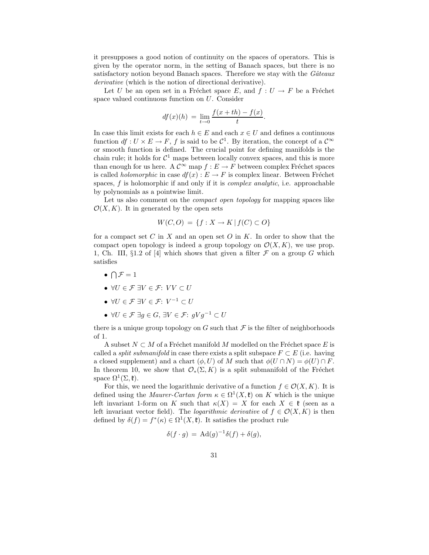it presupposes a good notion of continuity on the spaces of operators. This is given by the operator norm, in the setting of Banach spaces, but there is no satisfactory notion beyond Banach spaces. Therefore we stay with the  $G\hat{a}teaux$ derivative (which is the notion of directional derivative).

Let U be an open set in a Fréchet space E, and  $f : U \to F$  be a Fréchet space valued continuous function on U. Consider

$$
df(x)(h) = \lim_{t \to 0} \frac{f(x+th) - f(x)}{t}.
$$

In case this limit exists for each  $h \in E$  and each  $x \in U$  and defines a continuous function  $df: U \times E \to F$ , f is said to be  $\mathcal{C}^1$ . By iteration, the concept of a  $\mathcal{C}^{\infty}$ or smooth function is defined. The crucial point for defining manifolds is the chain rule; it holds for  $C^1$  maps between locally convex spaces, and this is more than enough for us here. A  $\mathcal{C}^{\infty}$  map  $f : E \to F$  between complex Fréchet spaces is called *holomorphic* in case  $df(x) : E \to F$  is complex linear. Between Fréchet spaces,  $f$  is holomorphic if and only if it is *complex analytic*, i.e. approachable by polynomials as a pointwise limit.

Let us also comment on the *compact open topology* for mapping spaces like  $\mathcal{O}(X, K)$ . It in generated by the open sets

$$
W(C,O) = \{ f : X \to K \mid f(C) \subset O \}
$$

for a compact set C in X and an open set O in K. In order to show that the compact open topology is indeed a group topology on  $\mathcal{O}(X, K)$ , we use prop. 1, Ch. III,  $\S1.2$  of [4] which shows that given a filter  $\mathcal F$  on a group G which satisfies

- $\bullet \bigcap \mathcal{F} = 1$
- $\forall U \in \mathcal{F} \exists V \in \mathcal{F}: VV \subset U$
- $\forall U \in \mathcal{F} \exists V \in \mathcal{F}: V^{-1} \subset U$
- $\forall U \in \mathcal{F} \ \exists g \in G, \ \exists V \in \mathcal{F}: \ gVg^{-1} \subset U$

there is a unique group topology on G such that  $\mathcal F$  is the filter of neighborhoods of 1.

A subset  $N \subset M$  of a Fréchet manifold M modelled on the Fréchet space E is called a *split submanifold* in case there exists a split subspace  $F \subset E$  (i.e. having a closed supplement) and a chart  $(\phi, U)$  of M such that  $\phi(U \cap N) = \phi(U) \cap F$ . In theorem 10, we show that  $\mathcal{O}_*(\Sigma, K)$  is a split submanifold of the Fréchet space  $\Omega^1(\Sigma, \mathfrak{k})$ .

For this, we need the logarithmic derivative of a function  $f \in \mathcal{O}(X, K)$ . It is defined using the *Maurer-Cartan form*  $\kappa \in \Omega^1(X, \mathfrak{k})$  on K which is the unique left invariant 1-form on K such that  $\kappa(X) = X$  for each  $X \in \mathfrak{k}$  (seen as a left invariant vector field). The *logarithmic derivative* of  $f \in \mathcal{O}(X, K)$  is then defined by  $\delta(f) = f^*(\kappa) \in \Omega^1(X, \mathfrak{k})$ . It satisfies the product rule

$$
\delta(f \cdot g) = \mathrm{Ad}(g)^{-1} \delta(f) + \delta(g),
$$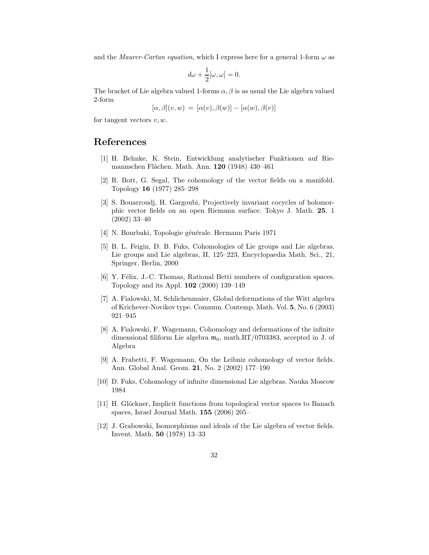and the *Maurer-Cartan equation*, which I express here for a general 1-form  $\omega$  as

$$
d\omega + \frac{1}{2}[\omega, \omega] = 0.
$$

The bracket of Lie algebra valued 1-forms  $\alpha$ ,  $\beta$  is as usual the Lie algebra valued 2-form

$$
[\alpha, \beta](v, w) = [\alpha(v), \beta(w)] - [\alpha(w), \beta(v)]
$$

for tangent vectors  $v, w$ .

## References

- [1] H. Behnke, K. Stein, Entwicklung analytischer Funktionen auf Riemannschen Flächen. Math. Ann. 120 (1948) 430–461
- [2] R. Bott, G. Segal, The cohomology of the vector fields on a manifold. Topology 16 (1977) 285–298
- [3] S. Bouarroudj, H. Gargoubi, Projectively invariant cocycles of holomorphic vector fields on an open Riemann surface. Tokyo J. Math. 25, 1 (2002) 33–40
- [4] N. Bourbaki, Topologie générale. Hermann Paris 1971
- [5] B. L. Feigin, D. B. Fuks, Cohomologies of Lie groups and Lie algebras. Lie groups and Lie algebras, II, 125–223, Encyclopaedia Math. Sci., 21, Springer, Berlin, 2000
- [6] Y. Félix, J.-C. Thomas, Rational Betti numbers of configuration spaces. Topology and its Appl. 102 (2000) 139–149
- [7] A. Fialowski, M. Schlichenmaier, Global deformations of the Witt algebra of Krichever-Novikov type. Commun. Contemp. Math. Vol. 5, No. 6 (2003) 921–945
- [8] A. Fialowski, F. Wagemann, Cohomology and deformations of the infinite dimensional filiform Lie algebra  $m_0$ , math.RT/0703383, accepted in J. of Algebra
- [9] A. Frabetti, F. Wagemann, On the Leibniz cohomology of vector fields. Ann. Global Anal. Geom. 21, No. 2 (2002) 177–190
- [10] D. Fuks, Cohomology of infinite dimensional Lie algebras. Nauka Moscow 1984
- [11] H. Glöckner, Implicit functions from topological vector spaces to Banach spaces, Israel Journal Math. 155 (2006) 205–
- [12] J. Grabowski, Isomorphisms and ideals of the Lie algebra of vector fields. Invent. Math. 50 (1978) 13–33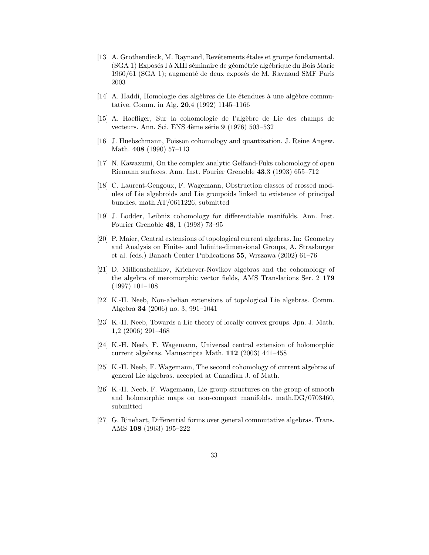- [13] A. Grothendieck, M. Raynaud, Revêtements étales et groupe fondamental. (SGA 1) Exposés I à XIII séminaire de géométrie algébrique du Bois Marie 1960/61 (SGA 1); augmenté de deux exposés de M. Raynaud SMF Paris 2003
- [14] A. Haddi, Homologie des algèbres de Lie étendues à une algèbre commutative. Comm. in Alg. 20,4 (1992) 1145–1166
- [15] A. Haefliger, Sur la cohomologie de l'algèbre de Lie des champs de vecteurs. Ann. Sci. ENS 4ème série 9 (1976) 503–532
- [16] J. Huebschmann, Poisson cohomology and quantization. J. Reine Angew. Math. 408 (1990) 57–113
- [17] N. Kawazumi, On the complex analytic Gelfand-Fuks cohomology of open Riemann surfaces. Ann. Inst. Fourier Grenoble 43,3 (1993) 655–712
- [18] C. Laurent-Gengoux, F. Wagemann, Obstruction classes of crossed modules of Lie algebroids and Lie groupoids linked to existence of principal bundles, math.AT/0611226, submitted
- [19] J. Lodder, Leibniz cohomology for differentiable manifolds. Ann. Inst. Fourier Grenoble 48, 1 (1998) 73–95
- [20] P. Maier, Central extensions of topological current algebras. In: Geometry and Analysis on Finite- and Infinite-dimensional Groups, A. Strasburger et al. (eds.) Banach Center Publications 55, Wrszawa (2002) 61–76
- [21] D. Millionshchikov, Krichever-Novikov algebras and the cohomology of the algebra of meromorphic vector fields, AMS Translations Ser. 2 179 (1997) 101–108
- [22] K.-H. Neeb, Non-abelian extensions of topological Lie algebras. Comm. Algebra 34 (2006) no. 3, 991–1041
- [23] K.-H. Neeb, Towards a Lie theory of locally convex groups. Jpn. J. Math. 1,2 (2006) 291–468
- [24] K.-H. Neeb, F. Wagemann, Universal central extension of holomorphic current algebras. Manuscripta Math. 112 (2003) 441–458
- [25] K.-H. Neeb, F. Wagemann, The second cohomology of current algebras of general Lie algebras. accepted at Canadian J. of Math.
- [26] K.-H. Neeb, F. Wagemann, Lie group structures on the group of smooth and holomorphic maps on non-compact manifolds. math.DG/0703460, submitted
- [27] G. Rinehart, Differential forms over general commutative algebras. Trans. AMS 108 (1963) 195–222